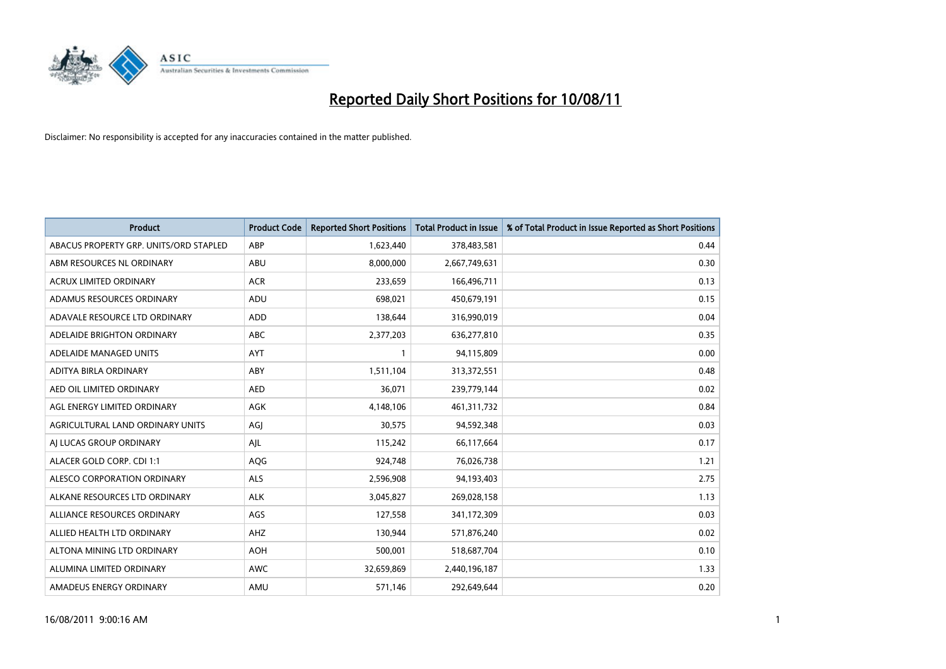

| <b>Product</b>                         | <b>Product Code</b> | <b>Reported Short Positions</b> | Total Product in Issue | % of Total Product in Issue Reported as Short Positions |
|----------------------------------------|---------------------|---------------------------------|------------------------|---------------------------------------------------------|
| ABACUS PROPERTY GRP. UNITS/ORD STAPLED | ABP                 | 1,623,440                       | 378,483,581            | 0.44                                                    |
| ABM RESOURCES NL ORDINARY              | ABU                 | 8,000,000                       | 2,667,749,631          | 0.30                                                    |
| ACRUX LIMITED ORDINARY                 | <b>ACR</b>          | 233,659                         | 166,496,711            | 0.13                                                    |
| ADAMUS RESOURCES ORDINARY              | ADU                 | 698,021                         | 450,679,191            | 0.15                                                    |
| ADAVALE RESOURCE LTD ORDINARY          | <b>ADD</b>          | 138,644                         | 316,990,019            | 0.04                                                    |
| ADELAIDE BRIGHTON ORDINARY             | <b>ABC</b>          | 2,377,203                       | 636,277,810            | 0.35                                                    |
| ADELAIDE MANAGED UNITS                 | <b>AYT</b>          |                                 | 94,115,809             | 0.00                                                    |
| ADITYA BIRLA ORDINARY                  | ABY                 | 1,511,104                       | 313,372,551            | 0.48                                                    |
| AED OIL LIMITED ORDINARY               | <b>AED</b>          | 36,071                          | 239,779,144            | 0.02                                                    |
| AGL ENERGY LIMITED ORDINARY            | <b>AGK</b>          | 4,148,106                       | 461,311,732            | 0.84                                                    |
| AGRICULTURAL LAND ORDINARY UNITS       | AGJ                 | 30,575                          | 94,592,348             | 0.03                                                    |
| AI LUCAS GROUP ORDINARY                | AIL                 | 115,242                         | 66,117,664             | 0.17                                                    |
| ALACER GOLD CORP. CDI 1:1              | AQG                 | 924,748                         | 76,026,738             | 1.21                                                    |
| ALESCO CORPORATION ORDINARY            | <b>ALS</b>          | 2,596,908                       | 94,193,403             | 2.75                                                    |
| ALKANE RESOURCES LTD ORDINARY          | <b>ALK</b>          | 3,045,827                       | 269,028,158            | 1.13                                                    |
| ALLIANCE RESOURCES ORDINARY            | AGS                 | 127,558                         | 341,172,309            | 0.03                                                    |
| ALLIED HEALTH LTD ORDINARY             | AHZ                 | 130,944                         | 571,876,240            | 0.02                                                    |
| ALTONA MINING LTD ORDINARY             | <b>AOH</b>          | 500,001                         | 518,687,704            | 0.10                                                    |
| ALUMINA LIMITED ORDINARY               | <b>AWC</b>          | 32,659,869                      | 2,440,196,187          | 1.33                                                    |
| AMADEUS ENERGY ORDINARY                | AMU                 | 571,146                         | 292,649,644            | 0.20                                                    |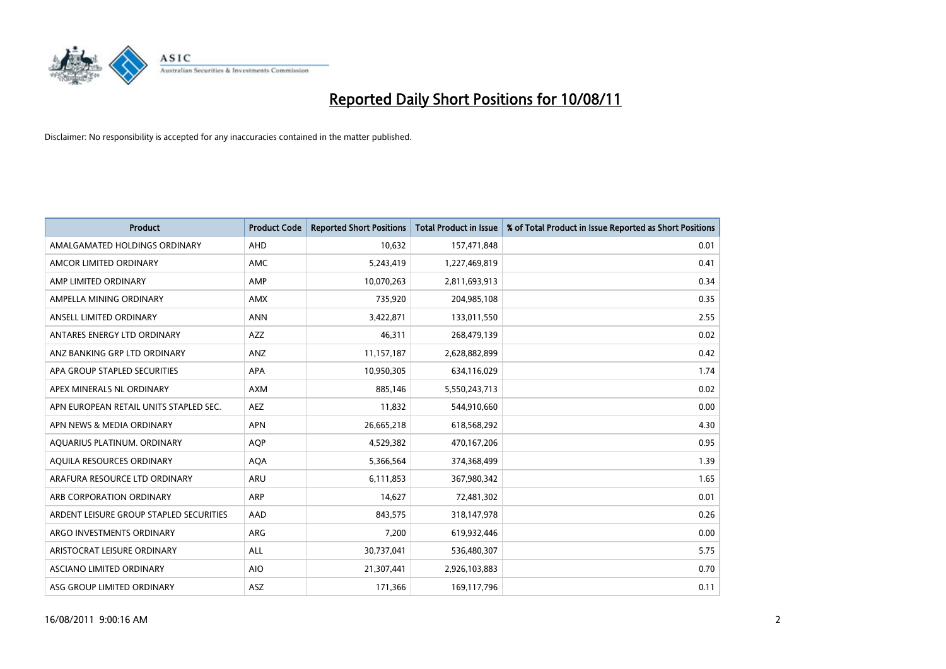

| <b>Product</b>                          | <b>Product Code</b> | <b>Reported Short Positions</b> | <b>Total Product in Issue</b> | % of Total Product in Issue Reported as Short Positions |
|-----------------------------------------|---------------------|---------------------------------|-------------------------------|---------------------------------------------------------|
| AMALGAMATED HOLDINGS ORDINARY           | AHD                 | 10,632                          | 157,471,848                   | 0.01                                                    |
| AMCOR LIMITED ORDINARY                  | <b>AMC</b>          | 5,243,419                       | 1,227,469,819                 | 0.41                                                    |
| AMP LIMITED ORDINARY                    | AMP                 | 10,070,263                      | 2,811,693,913                 | 0.34                                                    |
| AMPELLA MINING ORDINARY                 | <b>AMX</b>          | 735,920                         | 204,985,108                   | 0.35                                                    |
| ANSELL LIMITED ORDINARY                 | <b>ANN</b>          | 3,422,871                       | 133,011,550                   | 2.55                                                    |
| ANTARES ENERGY LTD ORDINARY             | <b>AZZ</b>          | 46.311                          | 268,479,139                   | 0.02                                                    |
| ANZ BANKING GRP LTD ORDINARY            | <b>ANZ</b>          | 11,157,187                      | 2,628,882,899                 | 0.42                                                    |
| APA GROUP STAPLED SECURITIES            | <b>APA</b>          | 10,950,305                      | 634,116,029                   | 1.74                                                    |
| APEX MINERALS NL ORDINARY               | <b>AXM</b>          | 885,146                         | 5,550,243,713                 | 0.02                                                    |
| APN EUROPEAN RETAIL UNITS STAPLED SEC.  | <b>AEZ</b>          | 11,832                          | 544,910,660                   | 0.00                                                    |
| APN NEWS & MEDIA ORDINARY               | <b>APN</b>          | 26,665,218                      | 618,568,292                   | 4.30                                                    |
| AQUARIUS PLATINUM. ORDINARY             | <b>AOP</b>          | 4,529,382                       | 470,167,206                   | 0.95                                                    |
| AQUILA RESOURCES ORDINARY               | <b>AQA</b>          | 5,366,564                       | 374,368,499                   | 1.39                                                    |
| ARAFURA RESOURCE LTD ORDINARY           | <b>ARU</b>          | 6,111,853                       | 367,980,342                   | 1.65                                                    |
| ARB CORPORATION ORDINARY                | <b>ARP</b>          | 14,627                          | 72,481,302                    | 0.01                                                    |
| ARDENT LEISURE GROUP STAPLED SECURITIES | AAD                 | 843.575                         | 318,147,978                   | 0.26                                                    |
| ARGO INVESTMENTS ORDINARY               | <b>ARG</b>          | 7,200                           | 619,932,446                   | 0.00                                                    |
| ARISTOCRAT LEISURE ORDINARY             | ALL                 | 30,737,041                      | 536,480,307                   | 5.75                                                    |
| ASCIANO LIMITED ORDINARY                | <b>AIO</b>          | 21,307,441                      | 2,926,103,883                 | 0.70                                                    |
| ASG GROUP LIMITED ORDINARY              | <b>ASZ</b>          | 171,366                         | 169,117,796                   | 0.11                                                    |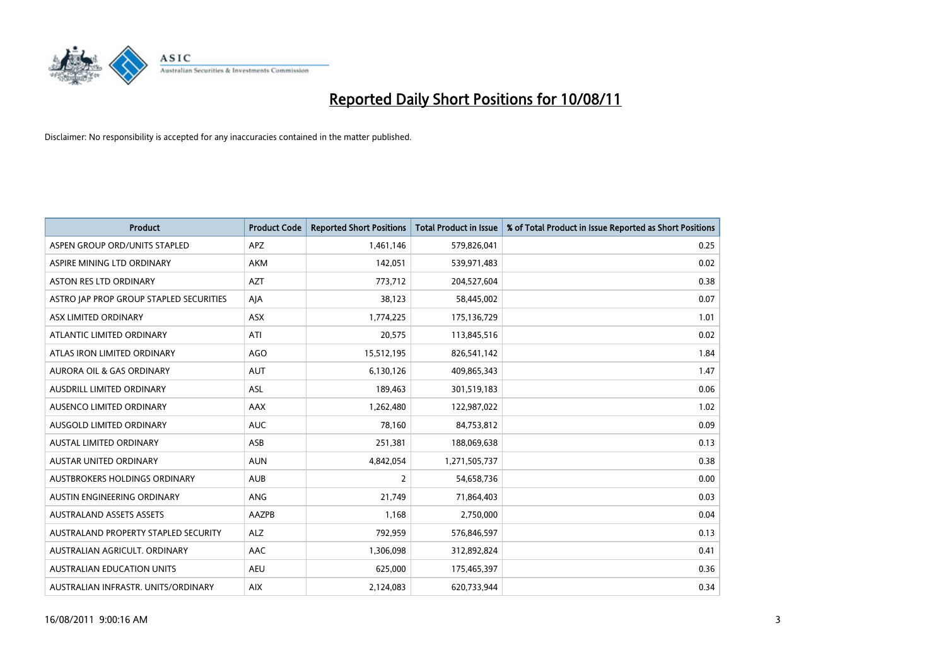

| <b>Product</b>                          | <b>Product Code</b> | <b>Reported Short Positions</b> | <b>Total Product in Issue</b> | % of Total Product in Issue Reported as Short Positions |
|-----------------------------------------|---------------------|---------------------------------|-------------------------------|---------------------------------------------------------|
| ASPEN GROUP ORD/UNITS STAPLED           | APZ                 | 1,461,146                       | 579,826,041                   | 0.25                                                    |
| ASPIRE MINING LTD ORDINARY              | <b>AKM</b>          | 142,051                         | 539,971,483                   | 0.02                                                    |
| <b>ASTON RES LTD ORDINARY</b>           | <b>AZT</b>          | 773,712                         | 204,527,604                   | 0.38                                                    |
| ASTRO JAP PROP GROUP STAPLED SECURITIES | AJA                 | 38,123                          | 58,445,002                    | 0.07                                                    |
| ASX LIMITED ORDINARY                    | <b>ASX</b>          | 1,774,225                       | 175,136,729                   | 1.01                                                    |
| ATLANTIC LIMITED ORDINARY               | ATI                 | 20,575                          | 113,845,516                   | 0.02                                                    |
| ATLAS IRON LIMITED ORDINARY             | AGO                 | 15,512,195                      | 826,541,142                   | 1.84                                                    |
| <b>AURORA OIL &amp; GAS ORDINARY</b>    | <b>AUT</b>          | 6,130,126                       | 409,865,343                   | 1.47                                                    |
| AUSDRILL LIMITED ORDINARY               | <b>ASL</b>          | 189,463                         | 301,519,183                   | 0.06                                                    |
| AUSENCO LIMITED ORDINARY                | AAX                 | 1,262,480                       | 122,987,022                   | 1.02                                                    |
| AUSGOLD LIMITED ORDINARY                | <b>AUC</b>          | 78,160                          | 84,753,812                    | 0.09                                                    |
| <b>AUSTAL LIMITED ORDINARY</b>          | ASB                 | 251,381                         | 188,069,638                   | 0.13                                                    |
| <b>AUSTAR UNITED ORDINARY</b>           | <b>AUN</b>          | 4,842,054                       | 1,271,505,737                 | 0.38                                                    |
| AUSTBROKERS HOLDINGS ORDINARY           | <b>AUB</b>          | 2                               | 54,658,736                    | 0.00                                                    |
| AUSTIN ENGINEERING ORDINARY             | <b>ANG</b>          | 21,749                          | 71,864,403                    | 0.03                                                    |
| <b>AUSTRALAND ASSETS ASSETS</b>         | AAZPB               | 1,168                           | 2,750,000                     | 0.04                                                    |
| AUSTRALAND PROPERTY STAPLED SECURITY    | <b>ALZ</b>          | 792,959                         | 576,846,597                   | 0.13                                                    |
| AUSTRALIAN AGRICULT. ORDINARY           | AAC                 | 1,306,098                       | 312,892,824                   | 0.41                                                    |
| <b>AUSTRALIAN EDUCATION UNITS</b>       | <b>AEU</b>          | 625,000                         | 175,465,397                   | 0.36                                                    |
| AUSTRALIAN INFRASTR, UNITS/ORDINARY     | <b>AIX</b>          | 2,124,083                       | 620,733,944                   | 0.34                                                    |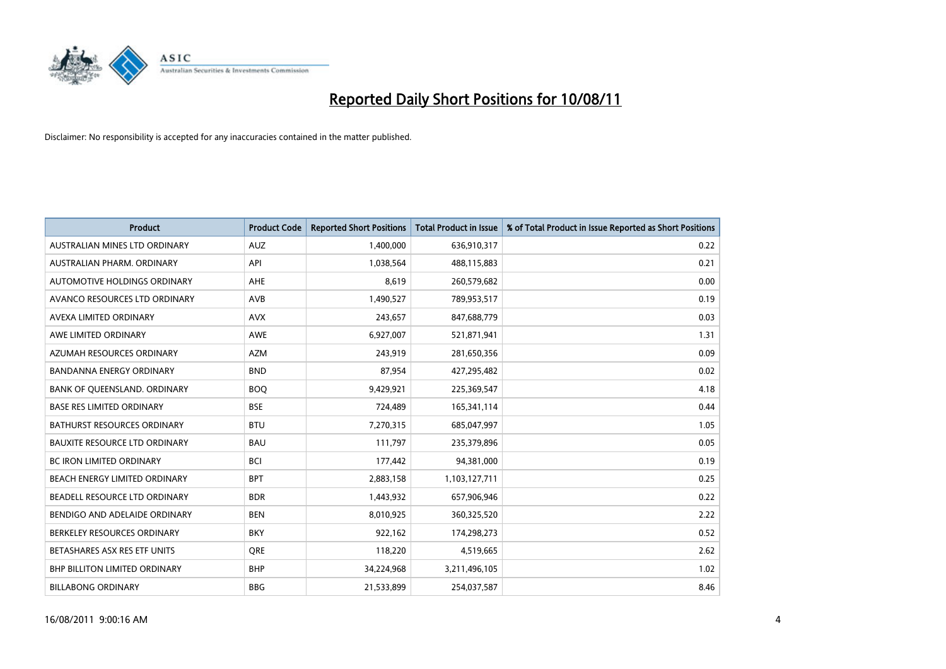

| <b>Product</b>                       | <b>Product Code</b> | <b>Reported Short Positions</b> | <b>Total Product in Issue</b> | % of Total Product in Issue Reported as Short Positions |
|--------------------------------------|---------------------|---------------------------------|-------------------------------|---------------------------------------------------------|
| AUSTRALIAN MINES LTD ORDINARY        | <b>AUZ</b>          | 1,400,000                       | 636,910,317                   | 0.22                                                    |
| AUSTRALIAN PHARM. ORDINARY           | API                 | 1,038,564                       | 488,115,883                   | 0.21                                                    |
| AUTOMOTIVE HOLDINGS ORDINARY         | <b>AHE</b>          | 8,619                           | 260,579,682                   | 0.00                                                    |
| AVANCO RESOURCES LTD ORDINARY        | AVB                 | 1,490,527                       | 789,953,517                   | 0.19                                                    |
| AVEXA LIMITED ORDINARY               | <b>AVX</b>          | 243,657                         | 847,688,779                   | 0.03                                                    |
| AWE LIMITED ORDINARY                 | AWE                 | 6,927,007                       | 521,871,941                   | 1.31                                                    |
| AZUMAH RESOURCES ORDINARY            | <b>AZM</b>          | 243,919                         | 281,650,356                   | 0.09                                                    |
| <b>BANDANNA ENERGY ORDINARY</b>      | <b>BND</b>          | 87,954                          | 427,295,482                   | 0.02                                                    |
| BANK OF QUEENSLAND. ORDINARY         | <b>BOO</b>          | 9,429,921                       | 225,369,547                   | 4.18                                                    |
| <b>BASE RES LIMITED ORDINARY</b>     | <b>BSE</b>          | 724,489                         | 165,341,114                   | 0.44                                                    |
| BATHURST RESOURCES ORDINARY          | <b>BTU</b>          | 7,270,315                       | 685,047,997                   | 1.05                                                    |
| <b>BAUXITE RESOURCE LTD ORDINARY</b> | <b>BAU</b>          | 111,797                         | 235,379,896                   | 0.05                                                    |
| <b>BC IRON LIMITED ORDINARY</b>      | <b>BCI</b>          | 177,442                         | 94,381,000                    | 0.19                                                    |
| BEACH ENERGY LIMITED ORDINARY        | <b>BPT</b>          | 2,883,158                       | 1,103,127,711                 | 0.25                                                    |
| BEADELL RESOURCE LTD ORDINARY        | <b>BDR</b>          | 1,443,932                       | 657,906,946                   | 0.22                                                    |
| BENDIGO AND ADELAIDE ORDINARY        | <b>BEN</b>          | 8,010,925                       | 360,325,520                   | 2.22                                                    |
| BERKELEY RESOURCES ORDINARY          | <b>BKY</b>          | 922,162                         | 174,298,273                   | 0.52                                                    |
| BETASHARES ASX RES ETF UNITS         | <b>ORE</b>          | 118,220                         | 4,519,665                     | 2.62                                                    |
| <b>BHP BILLITON LIMITED ORDINARY</b> | <b>BHP</b>          | 34,224,968                      | 3,211,496,105                 | 1.02                                                    |
| <b>BILLABONG ORDINARY</b>            | <b>BBG</b>          | 21,533,899                      | 254,037,587                   | 8.46                                                    |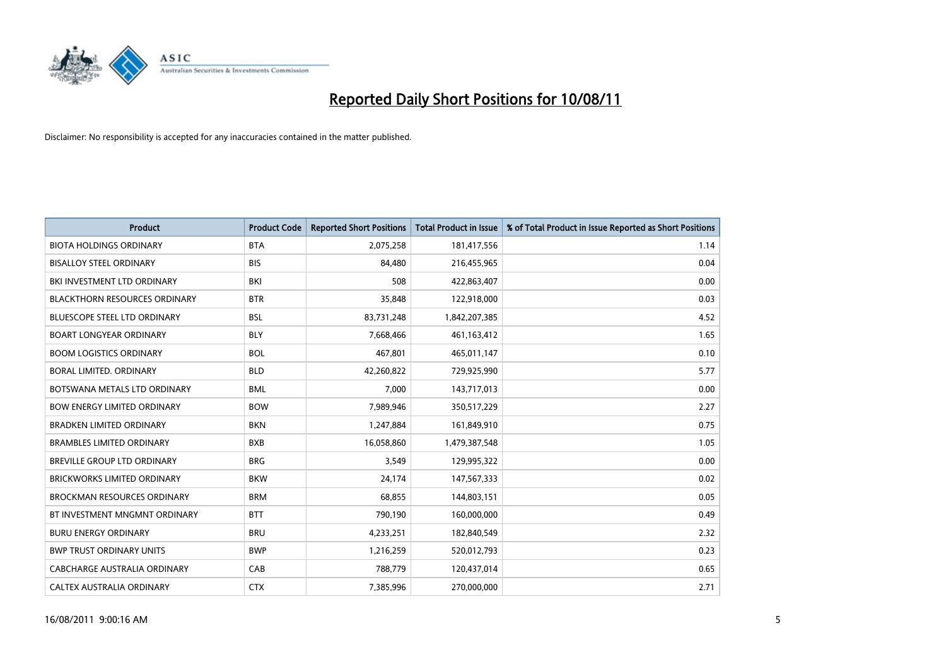

| <b>Product</b>                       | <b>Product Code</b> | <b>Reported Short Positions</b> | Total Product in Issue | % of Total Product in Issue Reported as Short Positions |
|--------------------------------------|---------------------|---------------------------------|------------------------|---------------------------------------------------------|
| <b>BIOTA HOLDINGS ORDINARY</b>       | <b>BTA</b>          | 2,075,258                       | 181,417,556            | 1.14                                                    |
| <b>BISALLOY STEEL ORDINARY</b>       | <b>BIS</b>          | 84,480                          | 216,455,965            | 0.04                                                    |
| BKI INVESTMENT LTD ORDINARY          | BKI                 | 508                             | 422,863,407            | 0.00                                                    |
| <b>BLACKTHORN RESOURCES ORDINARY</b> | <b>BTR</b>          | 35,848                          | 122,918,000            | 0.03                                                    |
| <b>BLUESCOPE STEEL LTD ORDINARY</b>  | <b>BSL</b>          | 83,731,248                      | 1,842,207,385          | 4.52                                                    |
| <b>BOART LONGYEAR ORDINARY</b>       | <b>BLY</b>          | 7,668,466                       | 461,163,412            | 1.65                                                    |
| <b>BOOM LOGISTICS ORDINARY</b>       | <b>BOL</b>          | 467,801                         | 465,011,147            | 0.10                                                    |
| BORAL LIMITED. ORDINARY              | <b>BLD</b>          | 42,260,822                      | 729,925,990            | 5.77                                                    |
| BOTSWANA METALS LTD ORDINARY         | <b>BML</b>          | 7,000                           | 143,717,013            | 0.00                                                    |
| <b>BOW ENERGY LIMITED ORDINARY</b>   | <b>BOW</b>          | 7,989,946                       | 350,517,229            | 2.27                                                    |
| <b>BRADKEN LIMITED ORDINARY</b>      | <b>BKN</b>          | 1,247,884                       | 161,849,910            | 0.75                                                    |
| <b>BRAMBLES LIMITED ORDINARY</b>     | <b>BXB</b>          | 16,058,860                      | 1,479,387,548          | 1.05                                                    |
| <b>BREVILLE GROUP LTD ORDINARY</b>   | <b>BRG</b>          | 3,549                           | 129,995,322            | 0.00                                                    |
| <b>BRICKWORKS LIMITED ORDINARY</b>   | <b>BKW</b>          | 24,174                          | 147,567,333            | 0.02                                                    |
| <b>BROCKMAN RESOURCES ORDINARY</b>   | <b>BRM</b>          | 68,855                          | 144,803,151            | 0.05                                                    |
| BT INVESTMENT MNGMNT ORDINARY        | <b>BTT</b>          | 790,190                         | 160,000,000            | 0.49                                                    |
| <b>BURU ENERGY ORDINARY</b>          | <b>BRU</b>          | 4,233,251                       | 182,840,549            | 2.32                                                    |
| <b>BWP TRUST ORDINARY UNITS</b>      | <b>BWP</b>          | 1,216,259                       | 520,012,793            | 0.23                                                    |
| CABCHARGE AUSTRALIA ORDINARY         | CAB                 | 788,779                         | 120,437,014            | 0.65                                                    |
| CALTEX AUSTRALIA ORDINARY            | <b>CTX</b>          | 7,385,996                       | 270,000,000            | 2.71                                                    |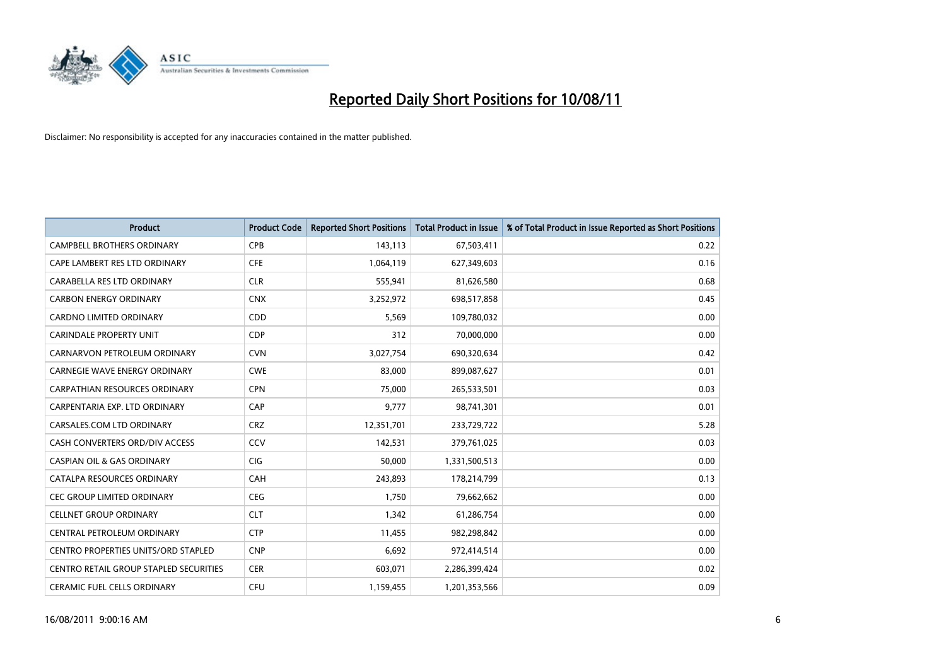

| <b>Product</b>                                | <b>Product Code</b> | <b>Reported Short Positions</b> | <b>Total Product in Issue</b> | % of Total Product in Issue Reported as Short Positions |
|-----------------------------------------------|---------------------|---------------------------------|-------------------------------|---------------------------------------------------------|
| <b>CAMPBELL BROTHERS ORDINARY</b>             | <b>CPB</b>          | 143,113                         | 67,503,411                    | 0.22                                                    |
| CAPE LAMBERT RES LTD ORDINARY                 | <b>CFE</b>          | 1,064,119                       | 627,349,603                   | 0.16                                                    |
| CARABELLA RES LTD ORDINARY                    | <b>CLR</b>          | 555,941                         | 81,626,580                    | 0.68                                                    |
| <b>CARBON ENERGY ORDINARY</b>                 | <b>CNX</b>          | 3,252,972                       | 698,517,858                   | 0.45                                                    |
| CARDNO LIMITED ORDINARY                       | CDD                 | 5,569                           | 109,780,032                   | 0.00                                                    |
| <b>CARINDALE PROPERTY UNIT</b>                | <b>CDP</b>          | 312                             | 70,000,000                    | 0.00                                                    |
| CARNARVON PETROLEUM ORDINARY                  | <b>CVN</b>          | 3,027,754                       | 690,320,634                   | 0.42                                                    |
| CARNEGIE WAVE ENERGY ORDINARY                 | <b>CWE</b>          | 83,000                          | 899,087,627                   | 0.01                                                    |
| CARPATHIAN RESOURCES ORDINARY                 | <b>CPN</b>          | 75,000                          | 265,533,501                   | 0.03                                                    |
| CARPENTARIA EXP. LTD ORDINARY                 | CAP                 | 9,777                           | 98,741,301                    | 0.01                                                    |
| CARSALES.COM LTD ORDINARY                     | <b>CRZ</b>          | 12,351,701                      | 233,729,722                   | 5.28                                                    |
| CASH CONVERTERS ORD/DIV ACCESS                | CCV                 | 142,531                         | 379,761,025                   | 0.03                                                    |
| <b>CASPIAN OIL &amp; GAS ORDINARY</b>         | <b>CIG</b>          | 50.000                          | 1,331,500,513                 | 0.00                                                    |
| CATALPA RESOURCES ORDINARY                    | CAH                 | 243.893                         | 178,214,799                   | 0.13                                                    |
| <b>CEC GROUP LIMITED ORDINARY</b>             | <b>CEG</b>          | 1,750                           | 79,662,662                    | 0.00                                                    |
| <b>CELLNET GROUP ORDINARY</b>                 | <b>CLT</b>          | 1,342                           | 61,286,754                    | 0.00                                                    |
| CENTRAL PETROLEUM ORDINARY                    | <b>CTP</b>          | 11,455                          | 982,298,842                   | 0.00                                                    |
| <b>CENTRO PROPERTIES UNITS/ORD STAPLED</b>    | <b>CNP</b>          | 6,692                           | 972,414,514                   | 0.00                                                    |
| <b>CENTRO RETAIL GROUP STAPLED SECURITIES</b> | <b>CER</b>          | 603,071                         | 2,286,399,424                 | 0.02                                                    |
| <b>CERAMIC FUEL CELLS ORDINARY</b>            | CFU                 | 1,159,455                       | 1,201,353,566                 | 0.09                                                    |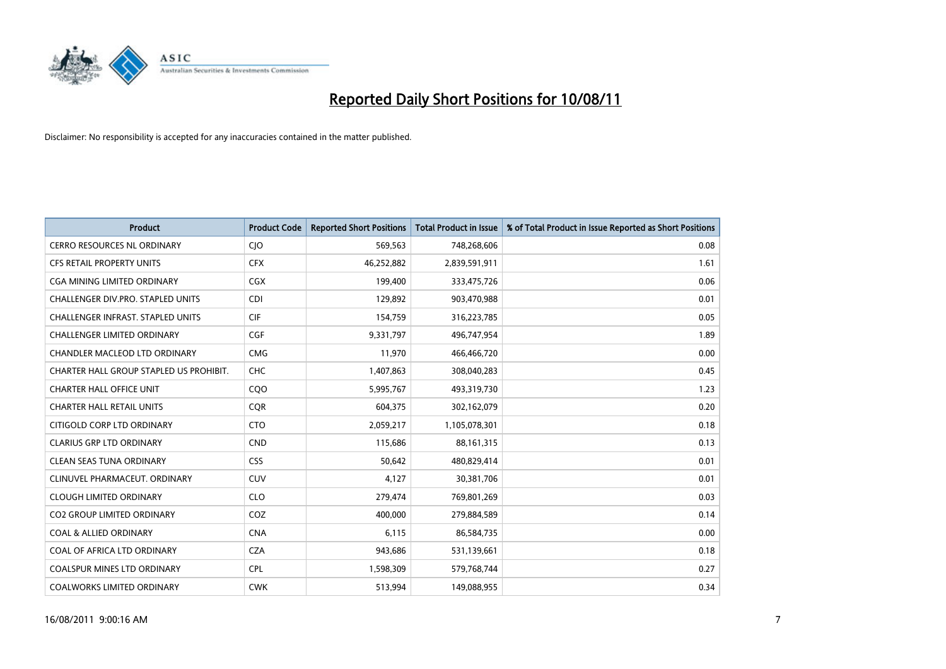

| <b>Product</b>                           | <b>Product Code</b> | <b>Reported Short Positions</b> | <b>Total Product in Issue</b> | % of Total Product in Issue Reported as Short Positions |
|------------------------------------------|---------------------|---------------------------------|-------------------------------|---------------------------------------------------------|
| <b>CERRO RESOURCES NL ORDINARY</b>       | CJO                 | 569,563                         | 748,268,606                   | 0.08                                                    |
| <b>CFS RETAIL PROPERTY UNITS</b>         | <b>CFX</b>          | 46,252,882                      | 2,839,591,911                 | 1.61                                                    |
| CGA MINING LIMITED ORDINARY              | <b>CGX</b>          | 199,400                         | 333,475,726                   | 0.06                                                    |
| CHALLENGER DIV.PRO. STAPLED UNITS        | <b>CDI</b>          | 129,892                         | 903,470,988                   | 0.01                                                    |
| <b>CHALLENGER INFRAST, STAPLED UNITS</b> | <b>CIF</b>          | 154,759                         | 316,223,785                   | 0.05                                                    |
| <b>CHALLENGER LIMITED ORDINARY</b>       | CGF                 | 9,331,797                       | 496,747,954                   | 1.89                                                    |
| CHANDLER MACLEOD LTD ORDINARY            | <b>CMG</b>          | 11,970                          | 466,466,720                   | 0.00                                                    |
| CHARTER HALL GROUP STAPLED US PROHIBIT.  | <b>CHC</b>          | 1,407,863                       | 308,040,283                   | 0.45                                                    |
| <b>CHARTER HALL OFFICE UNIT</b>          | CQO                 | 5,995,767                       | 493,319,730                   | 1.23                                                    |
| <b>CHARTER HALL RETAIL UNITS</b>         | <b>COR</b>          | 604,375                         | 302,162,079                   | 0.20                                                    |
| CITIGOLD CORP LTD ORDINARY               | <b>CTO</b>          | 2,059,217                       | 1,105,078,301                 | 0.18                                                    |
| <b>CLARIUS GRP LTD ORDINARY</b>          | <b>CND</b>          | 115,686                         | 88,161,315                    | 0.13                                                    |
| <b>CLEAN SEAS TUNA ORDINARY</b>          | <b>CSS</b>          | 50.642                          | 480,829,414                   | 0.01                                                    |
| CLINUVEL PHARMACEUT, ORDINARY            | <b>CUV</b>          | 4,127                           | 30,381,706                    | 0.01                                                    |
| <b>CLOUGH LIMITED ORDINARY</b>           | <b>CLO</b>          | 279,474                         | 769,801,269                   | 0.03                                                    |
| <b>CO2 GROUP LIMITED ORDINARY</b>        | COZ                 | 400.000                         | 279,884,589                   | 0.14                                                    |
| <b>COAL &amp; ALLIED ORDINARY</b>        | <b>CNA</b>          | 6,115                           | 86,584,735                    | 0.00                                                    |
| COAL OF AFRICA LTD ORDINARY              | <b>CZA</b>          | 943,686                         | 531,139,661                   | 0.18                                                    |
| <b>COALSPUR MINES LTD ORDINARY</b>       | <b>CPL</b>          | 1,598,309                       | 579,768,744                   | 0.27                                                    |
| <b>COALWORKS LIMITED ORDINARY</b>        | <b>CWK</b>          | 513,994                         | 149,088,955                   | 0.34                                                    |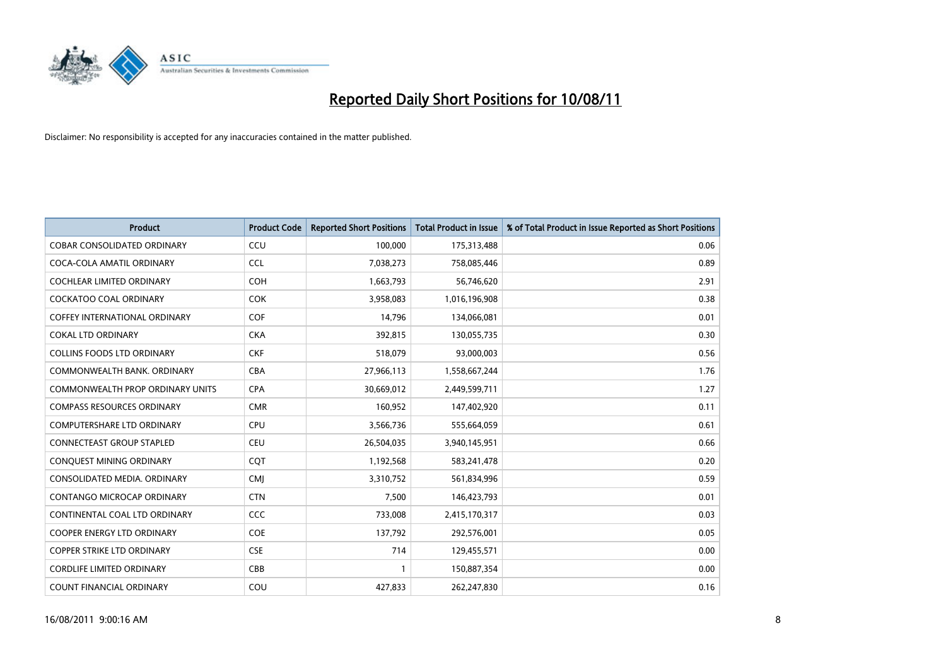

| <b>Product</b>                       | <b>Product Code</b> | <b>Reported Short Positions</b> | <b>Total Product in Issue</b> | % of Total Product in Issue Reported as Short Positions |
|--------------------------------------|---------------------|---------------------------------|-------------------------------|---------------------------------------------------------|
| <b>COBAR CONSOLIDATED ORDINARY</b>   | CCU                 | 100,000                         | 175,313,488                   | 0.06                                                    |
| COCA-COLA AMATIL ORDINARY            | <b>CCL</b>          | 7,038,273                       | 758,085,446                   | 0.89                                                    |
| <b>COCHLEAR LIMITED ORDINARY</b>     | <b>COH</b>          | 1,663,793                       | 56,746,620                    | 2.91                                                    |
| COCKATOO COAL ORDINARY               | <b>COK</b>          | 3,958,083                       | 1,016,196,908                 | 0.38                                                    |
| <b>COFFEY INTERNATIONAL ORDINARY</b> | <b>COF</b>          | 14,796                          | 134,066,081                   | 0.01                                                    |
| <b>COKAL LTD ORDINARY</b>            | <b>CKA</b>          | 392,815                         | 130,055,735                   | 0.30                                                    |
| <b>COLLINS FOODS LTD ORDINARY</b>    | <b>CKF</b>          | 518,079                         | 93,000,003                    | 0.56                                                    |
| COMMONWEALTH BANK, ORDINARY          | <b>CBA</b>          | 27,966,113                      | 1,558,667,244                 | 1.76                                                    |
| COMMONWEALTH PROP ORDINARY UNITS     | <b>CPA</b>          | 30,669,012                      | 2,449,599,711                 | 1.27                                                    |
| <b>COMPASS RESOURCES ORDINARY</b>    | <b>CMR</b>          | 160,952                         | 147,402,920                   | 0.11                                                    |
| <b>COMPUTERSHARE LTD ORDINARY</b>    | <b>CPU</b>          | 3,566,736                       | 555,664,059                   | 0.61                                                    |
| <b>CONNECTEAST GROUP STAPLED</b>     | <b>CEU</b>          | 26,504,035                      | 3,940,145,951                 | 0.66                                                    |
| CONQUEST MINING ORDINARY             | CQT                 | 1,192,568                       | 583,241,478                   | 0.20                                                    |
| CONSOLIDATED MEDIA, ORDINARY         | <b>CMI</b>          | 3,310,752                       | 561,834,996                   | 0.59                                                    |
| CONTANGO MICROCAP ORDINARY           | <b>CTN</b>          | 7,500                           | 146,423,793                   | 0.01                                                    |
| CONTINENTAL COAL LTD ORDINARY        | CCC                 | 733,008                         | 2,415,170,317                 | 0.03                                                    |
| COOPER ENERGY LTD ORDINARY           | <b>COE</b>          | 137,792                         | 292,576,001                   | 0.05                                                    |
| COPPER STRIKE LTD ORDINARY           | <b>CSE</b>          | 714                             | 129,455,571                   | 0.00                                                    |
| <b>CORDLIFE LIMITED ORDINARY</b>     | CBB                 |                                 | 150,887,354                   | 0.00                                                    |
| COUNT FINANCIAL ORDINARY             | COU                 | 427,833                         | 262,247,830                   | 0.16                                                    |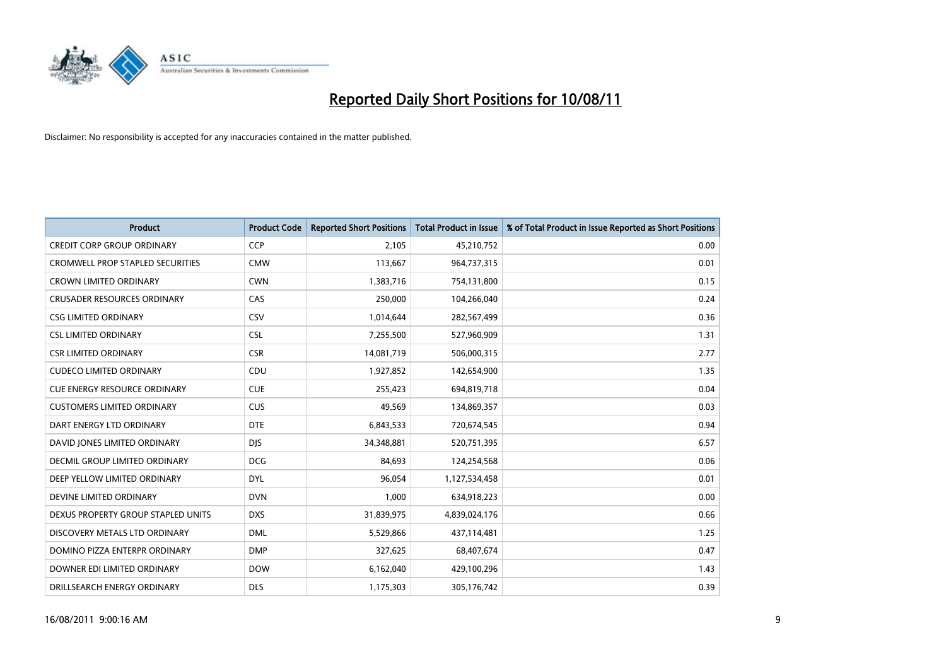

| <b>Product</b>                          | <b>Product Code</b> | <b>Reported Short Positions</b> | <b>Total Product in Issue</b> | % of Total Product in Issue Reported as Short Positions |
|-----------------------------------------|---------------------|---------------------------------|-------------------------------|---------------------------------------------------------|
| <b>CREDIT CORP GROUP ORDINARY</b>       | <b>CCP</b>          | 2,105                           | 45,210,752                    | 0.00                                                    |
| <b>CROMWELL PROP STAPLED SECURITIES</b> | <b>CMW</b>          | 113,667                         | 964,737,315                   | 0.01                                                    |
| <b>CROWN LIMITED ORDINARY</b>           | <b>CWN</b>          | 1,383,716                       | 754,131,800                   | 0.15                                                    |
| <b>CRUSADER RESOURCES ORDINARY</b>      | CAS                 | 250,000                         | 104,266,040                   | 0.24                                                    |
| <b>CSG LIMITED ORDINARY</b>             | CSV                 | 1,014,644                       | 282,567,499                   | 0.36                                                    |
| <b>CSL LIMITED ORDINARY</b>             | <b>CSL</b>          | 7,255,500                       | 527,960,909                   | 1.31                                                    |
| <b>CSR LIMITED ORDINARY</b>             | <b>CSR</b>          | 14,081,719                      | 506,000,315                   | 2.77                                                    |
| <b>CUDECO LIMITED ORDINARY</b>          | CDU                 | 1,927,852                       | 142,654,900                   | 1.35                                                    |
| <b>CUE ENERGY RESOURCE ORDINARY</b>     | <b>CUE</b>          | 255,423                         | 694,819,718                   | 0.04                                                    |
| <b>CUSTOMERS LIMITED ORDINARY</b>       | <b>CUS</b>          | 49,569                          | 134,869,357                   | 0.03                                                    |
| DART ENERGY LTD ORDINARY                | <b>DTE</b>          | 6,843,533                       | 720,674,545                   | 0.94                                                    |
| DAVID JONES LIMITED ORDINARY            | <b>DJS</b>          | 34,348,881                      | 520,751,395                   | 6.57                                                    |
| DECMIL GROUP LIMITED ORDINARY           | <b>DCG</b>          | 84,693                          | 124,254,568                   | 0.06                                                    |
| DEEP YELLOW LIMITED ORDINARY            | <b>DYL</b>          | 96,054                          | 1,127,534,458                 | 0.01                                                    |
| DEVINE LIMITED ORDINARY                 | <b>DVN</b>          | 1,000                           | 634,918,223                   | 0.00                                                    |
| DEXUS PROPERTY GROUP STAPLED UNITS      | <b>DXS</b>          | 31,839,975                      | 4,839,024,176                 | 0.66                                                    |
| DISCOVERY METALS LTD ORDINARY           | <b>DML</b>          | 5,529,866                       | 437,114,481                   | 1.25                                                    |
| DOMINO PIZZA ENTERPR ORDINARY           | <b>DMP</b>          | 327,625                         | 68,407,674                    | 0.47                                                    |
| DOWNER EDI LIMITED ORDINARY             | <b>DOW</b>          | 6,162,040                       | 429,100,296                   | 1.43                                                    |
| DRILLSEARCH ENERGY ORDINARY             | <b>DLS</b>          | 1,175,303                       | 305,176,742                   | 0.39                                                    |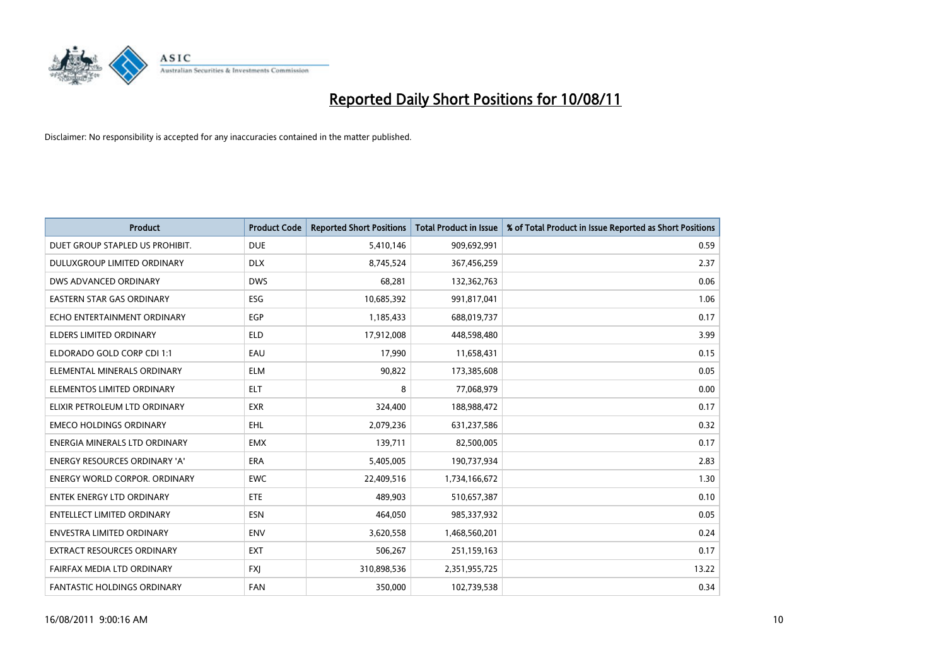

| <b>Product</b>                       | <b>Product Code</b> | <b>Reported Short Positions</b> | <b>Total Product in Issue</b> | % of Total Product in Issue Reported as Short Positions |
|--------------------------------------|---------------------|---------------------------------|-------------------------------|---------------------------------------------------------|
| DUET GROUP STAPLED US PROHIBIT.      | <b>DUE</b>          | 5,410,146                       | 909,692,991                   | 0.59                                                    |
| DULUXGROUP LIMITED ORDINARY          | <b>DLX</b>          | 8,745,524                       | 367,456,259                   | 2.37                                                    |
| DWS ADVANCED ORDINARY                | <b>DWS</b>          | 68,281                          | 132,362,763                   | 0.06                                                    |
| <b>EASTERN STAR GAS ORDINARY</b>     | ESG                 | 10,685,392                      | 991,817,041                   | 1.06                                                    |
| ECHO ENTERTAINMENT ORDINARY          | EGP                 | 1,185,433                       | 688,019,737                   | 0.17                                                    |
| <b>ELDERS LIMITED ORDINARY</b>       | <b>ELD</b>          | 17,912,008                      | 448,598,480                   | 3.99                                                    |
| ELDORADO GOLD CORP CDI 1:1           | EAU                 | 17,990                          | 11,658,431                    | 0.15                                                    |
| ELEMENTAL MINERALS ORDINARY          | <b>ELM</b>          | 90,822                          | 173,385,608                   | 0.05                                                    |
| ELEMENTOS LIMITED ORDINARY           | <b>ELT</b>          | 8                               | 77,068,979                    | 0.00                                                    |
| ELIXIR PETROLEUM LTD ORDINARY        | <b>EXR</b>          | 324,400                         | 188,988,472                   | 0.17                                                    |
| <b>EMECO HOLDINGS ORDINARY</b>       | <b>EHL</b>          | 2,079,236                       | 631,237,586                   | 0.32                                                    |
| ENERGIA MINERALS LTD ORDINARY        | <b>EMX</b>          | 139,711                         | 82,500,005                    | 0.17                                                    |
| ENERGY RESOURCES ORDINARY 'A'        | <b>ERA</b>          | 5,405,005                       | 190,737,934                   | 2.83                                                    |
| <b>ENERGY WORLD CORPOR, ORDINARY</b> | <b>EWC</b>          | 22,409,516                      | 1,734,166,672                 | 1.30                                                    |
| <b>ENTEK ENERGY LTD ORDINARY</b>     | ETE                 | 489,903                         | 510,657,387                   | 0.10                                                    |
| <b>ENTELLECT LIMITED ORDINARY</b>    | <b>ESN</b>          | 464,050                         | 985,337,932                   | 0.05                                                    |
| ENVESTRA LIMITED ORDINARY            | <b>ENV</b>          | 3,620,558                       | 1,468,560,201                 | 0.24                                                    |
| EXTRACT RESOURCES ORDINARY           | <b>EXT</b>          | 506,267                         | 251,159,163                   | 0.17                                                    |
| FAIRFAX MEDIA LTD ORDINARY           | <b>FXI</b>          | 310,898,536                     | 2,351,955,725                 | 13.22                                                   |
| <b>FANTASTIC HOLDINGS ORDINARY</b>   | <b>FAN</b>          | 350,000                         | 102,739,538                   | 0.34                                                    |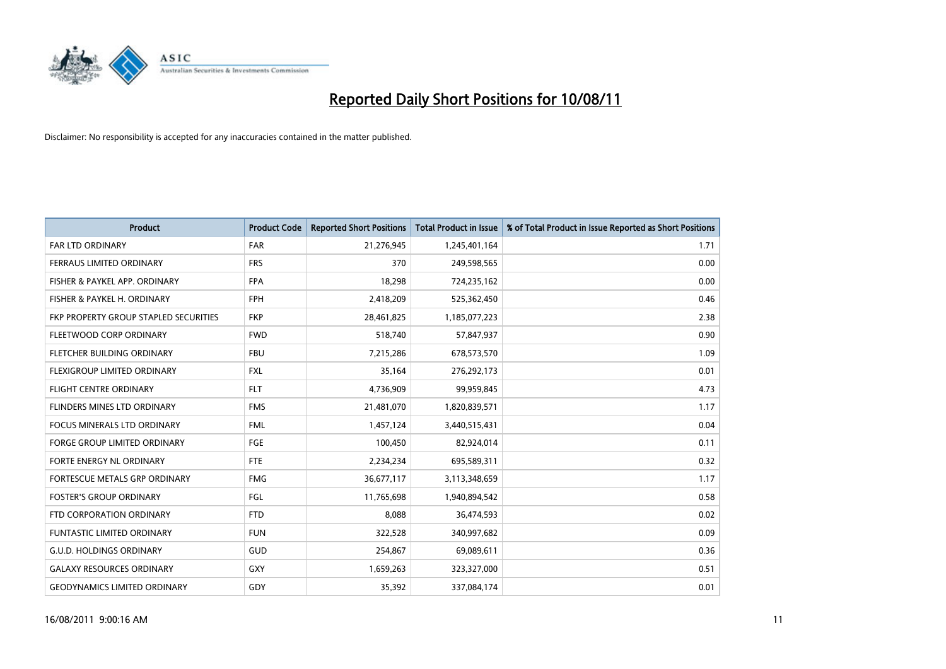

| <b>Product</b>                        | <b>Product Code</b> | <b>Reported Short Positions</b> | <b>Total Product in Issue</b> | % of Total Product in Issue Reported as Short Positions |
|---------------------------------------|---------------------|---------------------------------|-------------------------------|---------------------------------------------------------|
| <b>FAR LTD ORDINARY</b>               | <b>FAR</b>          | 21,276,945                      | 1,245,401,164                 | 1.71                                                    |
| FERRAUS LIMITED ORDINARY              | <b>FRS</b>          | 370                             | 249,598,565                   | 0.00                                                    |
| FISHER & PAYKEL APP. ORDINARY         | <b>FPA</b>          | 18,298                          | 724,235,162                   | 0.00                                                    |
| FISHER & PAYKEL H. ORDINARY           | <b>FPH</b>          | 2,418,209                       | 525,362,450                   | 0.46                                                    |
| FKP PROPERTY GROUP STAPLED SECURITIES | <b>FKP</b>          | 28,461,825                      | 1,185,077,223                 | 2.38                                                    |
| FLEETWOOD CORP ORDINARY               | <b>FWD</b>          | 518,740                         | 57,847,937                    | 0.90                                                    |
| <b>FLETCHER BUILDING ORDINARY</b>     | <b>FBU</b>          | 7,215,286                       | 678,573,570                   | 1.09                                                    |
| FLEXIGROUP LIMITED ORDINARY           | <b>FXL</b>          | 35,164                          | 276,292,173                   | 0.01                                                    |
| FLIGHT CENTRE ORDINARY                | <b>FLT</b>          | 4,736,909                       | 99,959,845                    | 4.73                                                    |
| FLINDERS MINES LTD ORDINARY           | <b>FMS</b>          | 21,481,070                      | 1,820,839,571                 | 1.17                                                    |
| <b>FOCUS MINERALS LTD ORDINARY</b>    | <b>FML</b>          | 1,457,124                       | 3,440,515,431                 | 0.04                                                    |
| <b>FORGE GROUP LIMITED ORDINARY</b>   | FGE                 | 100,450                         | 82,924,014                    | 0.11                                                    |
| FORTE ENERGY NL ORDINARY              | <b>FTE</b>          | 2,234,234                       | 695,589,311                   | 0.32                                                    |
| FORTESCUE METALS GRP ORDINARY         | <b>FMG</b>          | 36,677,117                      | 3,113,348,659                 | 1.17                                                    |
| <b>FOSTER'S GROUP ORDINARY</b>        | <b>FGL</b>          | 11,765,698                      | 1,940,894,542                 | 0.58                                                    |
| FTD CORPORATION ORDINARY              | <b>FTD</b>          | 8.088                           | 36,474,593                    | 0.02                                                    |
| <b>FUNTASTIC LIMITED ORDINARY</b>     | <b>FUN</b>          | 322,528                         | 340,997,682                   | 0.09                                                    |
| <b>G.U.D. HOLDINGS ORDINARY</b>       | GUD                 | 254,867                         | 69,089,611                    | 0.36                                                    |
| <b>GALAXY RESOURCES ORDINARY</b>      | GXY                 | 1,659,263                       | 323,327,000                   | 0.51                                                    |
| <b>GEODYNAMICS LIMITED ORDINARY</b>   | GDY                 | 35,392                          | 337,084,174                   | 0.01                                                    |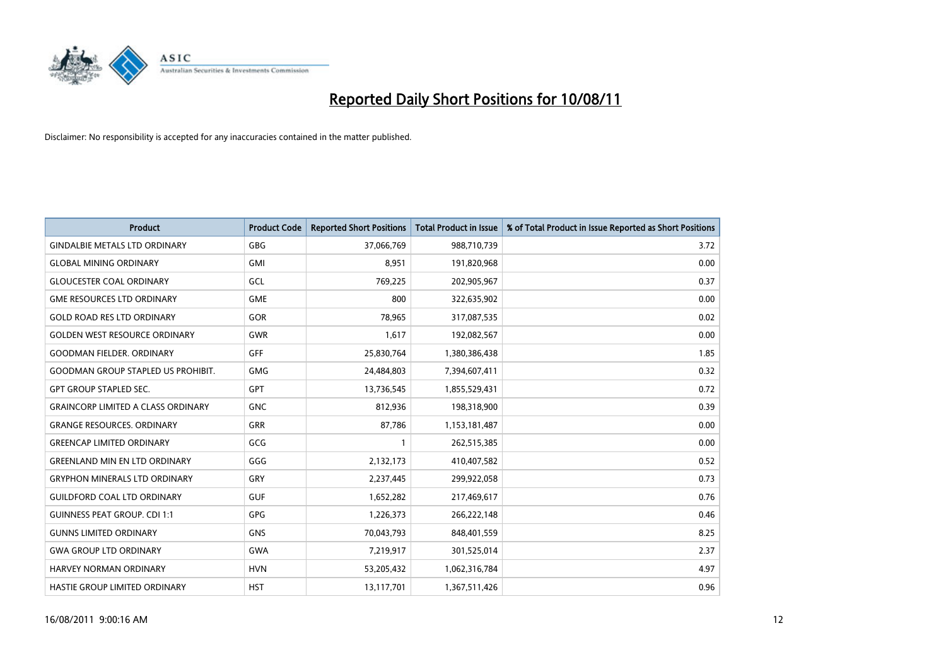

| <b>Product</b>                            | <b>Product Code</b> | <b>Reported Short Positions</b> | <b>Total Product in Issue</b> | % of Total Product in Issue Reported as Short Positions |
|-------------------------------------------|---------------------|---------------------------------|-------------------------------|---------------------------------------------------------|
| <b>GINDALBIE METALS LTD ORDINARY</b>      | <b>GBG</b>          | 37,066,769                      | 988,710,739                   | 3.72                                                    |
| <b>GLOBAL MINING ORDINARY</b>             | <b>GMI</b>          | 8,951                           | 191,820,968                   | 0.00                                                    |
| <b>GLOUCESTER COAL ORDINARY</b>           | GCL                 | 769,225                         | 202,905,967                   | 0.37                                                    |
| <b>GME RESOURCES LTD ORDINARY</b>         | <b>GME</b>          | 800                             | 322,635,902                   | 0.00                                                    |
| <b>GOLD ROAD RES LTD ORDINARY</b>         | GOR                 | 78,965                          | 317,087,535                   | 0.02                                                    |
| <b>GOLDEN WEST RESOURCE ORDINARY</b>      | <b>GWR</b>          | 1,617                           | 192,082,567                   | 0.00                                                    |
| <b>GOODMAN FIELDER, ORDINARY</b>          | <b>GFF</b>          | 25,830,764                      | 1,380,386,438                 | 1.85                                                    |
| <b>GOODMAN GROUP STAPLED US PROHIBIT.</b> | <b>GMG</b>          | 24,484,803                      | 7,394,607,411                 | 0.32                                                    |
| <b>GPT GROUP STAPLED SEC.</b>             | <b>GPT</b>          | 13,736,545                      | 1,855,529,431                 | 0.72                                                    |
| <b>GRAINCORP LIMITED A CLASS ORDINARY</b> | <b>GNC</b>          | 812,936                         | 198,318,900                   | 0.39                                                    |
| <b>GRANGE RESOURCES. ORDINARY</b>         | <b>GRR</b>          | 87,786                          | 1,153,181,487                 | 0.00                                                    |
| <b>GREENCAP LIMITED ORDINARY</b>          | GCG                 |                                 | 262,515,385                   | 0.00                                                    |
| <b>GREENLAND MIN EN LTD ORDINARY</b>      | GGG                 | 2,132,173                       | 410,407,582                   | 0.52                                                    |
| <b>GRYPHON MINERALS LTD ORDINARY</b>      | GRY                 | 2,237,445                       | 299,922,058                   | 0.73                                                    |
| <b>GUILDFORD COAL LTD ORDINARY</b>        | <b>GUF</b>          | 1,652,282                       | 217,469,617                   | 0.76                                                    |
| <b>GUINNESS PEAT GROUP. CDI 1:1</b>       | <b>GPG</b>          | 1,226,373                       | 266,222,148                   | 0.46                                                    |
| <b>GUNNS LIMITED ORDINARY</b>             | <b>GNS</b>          | 70,043,793                      | 848,401,559                   | 8.25                                                    |
| <b>GWA GROUP LTD ORDINARY</b>             | <b>GWA</b>          | 7,219,917                       | 301,525,014                   | 2.37                                                    |
| HARVEY NORMAN ORDINARY                    | <b>HVN</b>          | 53,205,432                      | 1,062,316,784                 | 4.97                                                    |
| HASTIE GROUP LIMITED ORDINARY             | <b>HST</b>          | 13,117,701                      | 1,367,511,426                 | 0.96                                                    |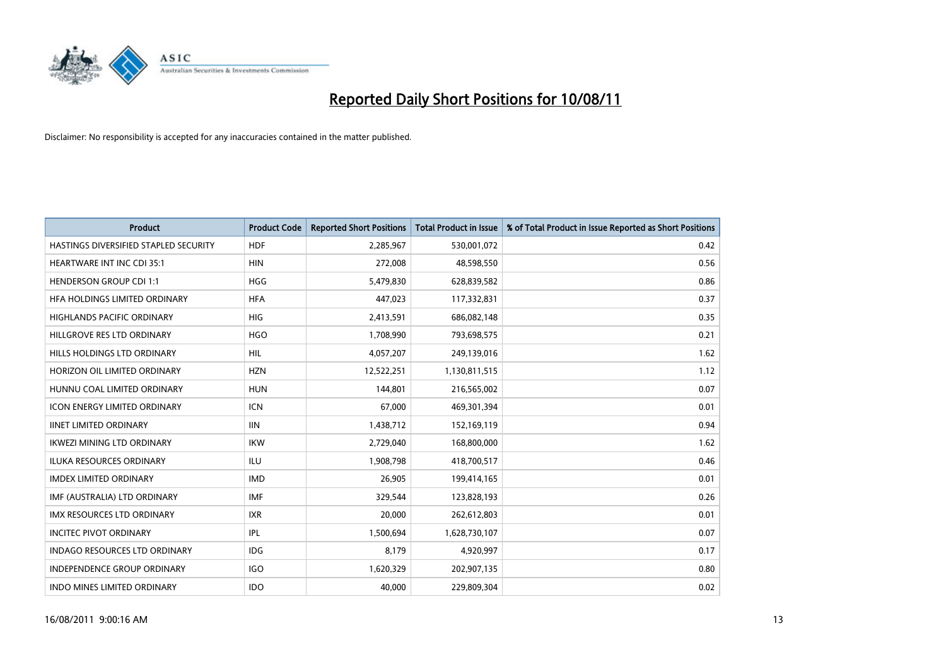

| <b>Product</b>                        | <b>Product Code</b> | <b>Reported Short Positions</b> | <b>Total Product in Issue</b> | % of Total Product in Issue Reported as Short Positions |
|---------------------------------------|---------------------|---------------------------------|-------------------------------|---------------------------------------------------------|
| HASTINGS DIVERSIFIED STAPLED SECURITY | <b>HDF</b>          | 2,285,967                       | 530,001,072                   | 0.42                                                    |
| <b>HEARTWARE INT INC CDI 35:1</b>     | <b>HIN</b>          | 272,008                         | 48,598,550                    | 0.56                                                    |
| <b>HENDERSON GROUP CDI 1:1</b>        | <b>HGG</b>          | 5,479,830                       | 628,839,582                   | 0.86                                                    |
| HFA HOLDINGS LIMITED ORDINARY         | <b>HFA</b>          | 447,023                         | 117,332,831                   | 0.37                                                    |
| <b>HIGHLANDS PACIFIC ORDINARY</b>     | <b>HIG</b>          | 2,413,591                       | 686,082,148                   | 0.35                                                    |
| HILLGROVE RES LTD ORDINARY            | <b>HGO</b>          | 1,708,990                       | 793,698,575                   | 0.21                                                    |
| HILLS HOLDINGS LTD ORDINARY           | HIL.                | 4,057,207                       | 249,139,016                   | 1.62                                                    |
| HORIZON OIL LIMITED ORDINARY          | <b>HZN</b>          | 12,522,251                      | 1,130,811,515                 | 1.12                                                    |
| HUNNU COAL LIMITED ORDINARY           | <b>HUN</b>          | 144.801                         | 216,565,002                   | 0.07                                                    |
| <b>ICON ENERGY LIMITED ORDINARY</b>   | <b>ICN</b>          | 67,000                          | 469,301,394                   | 0.01                                                    |
| <b>IINET LIMITED ORDINARY</b>         | <b>IIN</b>          | 1,438,712                       | 152,169,119                   | 0.94                                                    |
| <b>IKWEZI MINING LTD ORDINARY</b>     | <b>IKW</b>          | 2,729,040                       | 168,800,000                   | 1.62                                                    |
| ILUKA RESOURCES ORDINARY              | <b>ILU</b>          | 1,908,798                       | 418,700,517                   | 0.46                                                    |
| <b>IMDEX LIMITED ORDINARY</b>         | <b>IMD</b>          | 26,905                          | 199,414,165                   | 0.01                                                    |
| IMF (AUSTRALIA) LTD ORDINARY          | <b>IMF</b>          | 329,544                         | 123,828,193                   | 0.26                                                    |
| <b>IMX RESOURCES LTD ORDINARY</b>     | <b>IXR</b>          | 20,000                          | 262,612,803                   | 0.01                                                    |
| <b>INCITEC PIVOT ORDINARY</b>         | IPL                 | 1,500,694                       | 1,628,730,107                 | 0.07                                                    |
| INDAGO RESOURCES LTD ORDINARY         | <b>IDG</b>          | 8,179                           | 4,920,997                     | 0.17                                                    |
| <b>INDEPENDENCE GROUP ORDINARY</b>    | <b>IGO</b>          | 1,620,329                       | 202,907,135                   | 0.80                                                    |
| INDO MINES LIMITED ORDINARY           | <b>IDO</b>          | 40,000                          | 229,809,304                   | 0.02                                                    |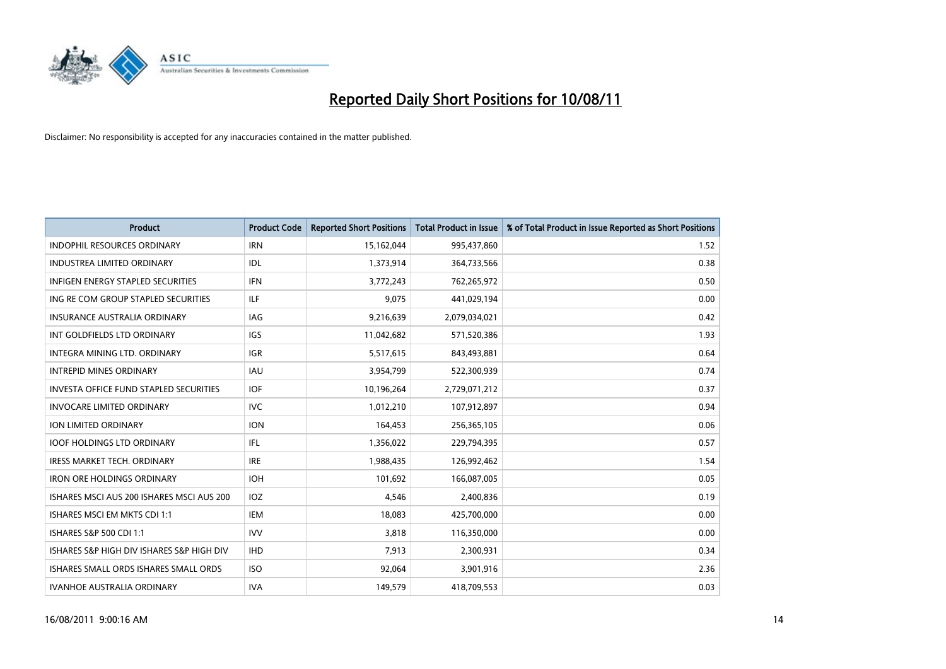

| <b>Product</b>                                | <b>Product Code</b> | <b>Reported Short Positions</b> | <b>Total Product in Issue</b> | % of Total Product in Issue Reported as Short Positions |
|-----------------------------------------------|---------------------|---------------------------------|-------------------------------|---------------------------------------------------------|
| <b>INDOPHIL RESOURCES ORDINARY</b>            | <b>IRN</b>          | 15,162,044                      | 995,437,860                   | 1.52                                                    |
| INDUSTREA LIMITED ORDINARY                    | IDL                 | 1,373,914                       | 364,733,566                   | 0.38                                                    |
| <b>INFIGEN ENERGY STAPLED SECURITIES</b>      | <b>IFN</b>          | 3,772,243                       | 762,265,972                   | 0.50                                                    |
| ING RE COM GROUP STAPLED SECURITIES           | ILF                 | 9,075                           | 441,029,194                   | 0.00                                                    |
| <b>INSURANCE AUSTRALIA ORDINARY</b>           | IAG                 | 9,216,639                       | 2,079,034,021                 | 0.42                                                    |
| INT GOLDFIELDS LTD ORDINARY                   | <b>IGS</b>          | 11,042,682                      | 571,520,386                   | 1.93                                                    |
| INTEGRA MINING LTD, ORDINARY                  | <b>IGR</b>          | 5,517,615                       | 843,493,881                   | 0.64                                                    |
| <b>INTREPID MINES ORDINARY</b>                | <b>IAU</b>          | 3,954,799                       | 522,300,939                   | 0.74                                                    |
| <b>INVESTA OFFICE FUND STAPLED SECURITIES</b> | <b>IOF</b>          | 10,196,264                      | 2,729,071,212                 | 0.37                                                    |
| <b>INVOCARE LIMITED ORDINARY</b>              | <b>IVC</b>          | 1,012,210                       | 107,912,897                   | 0.94                                                    |
| ION LIMITED ORDINARY                          | <b>ION</b>          | 164,453                         | 256,365,105                   | 0.06                                                    |
| <b>IOOF HOLDINGS LTD ORDINARY</b>             | IFL.                | 1,356,022                       | 229,794,395                   | 0.57                                                    |
| <b>IRESS MARKET TECH. ORDINARY</b>            | <b>IRE</b>          | 1,988,435                       | 126,992,462                   | 1.54                                                    |
| <b>IRON ORE HOLDINGS ORDINARY</b>             | <b>IOH</b>          | 101,692                         | 166,087,005                   | 0.05                                                    |
| ISHARES MSCI AUS 200 ISHARES MSCI AUS 200     | IOZ                 | 4,546                           | 2,400,836                     | 0.19                                                    |
| ISHARES MSCI EM MKTS CDI 1:1                  | <b>IEM</b>          | 18,083                          | 425,700,000                   | 0.00                                                    |
| ISHARES S&P 500 CDI 1:1                       | <b>IVV</b>          | 3,818                           | 116,350,000                   | 0.00                                                    |
| ISHARES S&P HIGH DIV ISHARES S&P HIGH DIV     | <b>IHD</b>          | 7,913                           | 2,300,931                     | 0.34                                                    |
| ISHARES SMALL ORDS ISHARES SMALL ORDS         | <b>ISO</b>          | 92,064                          | 3,901,916                     | 2.36                                                    |
| <b>IVANHOE AUSTRALIA ORDINARY</b>             | <b>IVA</b>          | 149.579                         | 418,709,553                   | 0.03                                                    |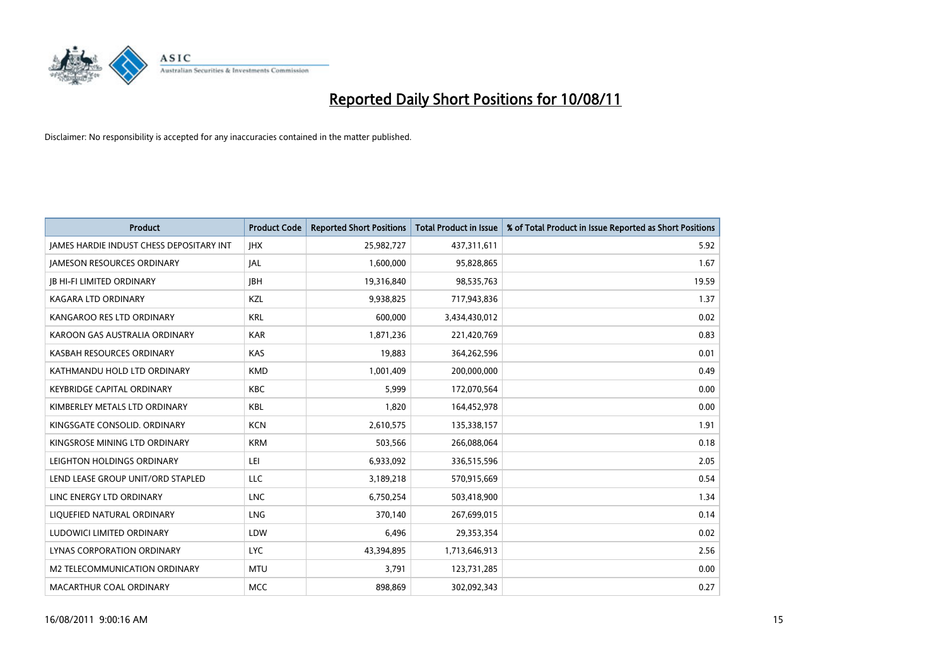

| <b>Product</b>                                  | <b>Product Code</b> | <b>Reported Short Positions</b> | <b>Total Product in Issue</b> | % of Total Product in Issue Reported as Short Positions |
|-------------------------------------------------|---------------------|---------------------------------|-------------------------------|---------------------------------------------------------|
| <b>JAMES HARDIE INDUST CHESS DEPOSITARY INT</b> | <b>JHX</b>          | 25,982,727                      | 437,311,611                   | 5.92                                                    |
| <b>JAMESON RESOURCES ORDINARY</b>               | <b>JAL</b>          | 1,600,000                       | 95,828,865                    | 1.67                                                    |
| <b>JB HI-FI LIMITED ORDINARY</b>                | <b>IBH</b>          | 19,316,840                      | 98,535,763                    | 19.59                                                   |
| <b>KAGARA LTD ORDINARY</b>                      | KZL                 | 9,938,825                       | 717,943,836                   | 1.37                                                    |
| KANGAROO RES LTD ORDINARY                       | <b>KRL</b>          | 600,000                         | 3,434,430,012                 | 0.02                                                    |
| KAROON GAS AUSTRALIA ORDINARY                   | <b>KAR</b>          | 1,871,236                       | 221,420,769                   | 0.83                                                    |
| KASBAH RESOURCES ORDINARY                       | KAS                 | 19,883                          | 364,262,596                   | 0.01                                                    |
| KATHMANDU HOLD LTD ORDINARY                     | <b>KMD</b>          | 1,001,409                       | 200,000,000                   | 0.49                                                    |
| <b>KEYBRIDGE CAPITAL ORDINARY</b>               | <b>KBC</b>          | 5,999                           | 172,070,564                   | 0.00                                                    |
| KIMBERLEY METALS LTD ORDINARY                   | <b>KBL</b>          | 1,820                           | 164,452,978                   | 0.00                                                    |
| KINGSGATE CONSOLID, ORDINARY                    | <b>KCN</b>          | 2,610,575                       | 135,338,157                   | 1.91                                                    |
| KINGSROSE MINING LTD ORDINARY                   | <b>KRM</b>          | 503,566                         | 266,088,064                   | 0.18                                                    |
| LEIGHTON HOLDINGS ORDINARY                      | LEI                 | 6,933,092                       | 336,515,596                   | 2.05                                                    |
| LEND LEASE GROUP UNIT/ORD STAPLED               | LLC                 | 3,189,218                       | 570,915,669                   | 0.54                                                    |
| LINC ENERGY LTD ORDINARY                        | <b>LNC</b>          | 6,750,254                       | 503,418,900                   | 1.34                                                    |
| LIQUEFIED NATURAL ORDINARY                      | <b>LNG</b>          | 370.140                         | 267,699,015                   | 0.14                                                    |
| LUDOWICI LIMITED ORDINARY                       | LDW                 | 6,496                           | 29,353,354                    | 0.02                                                    |
| LYNAS CORPORATION ORDINARY                      | <b>LYC</b>          | 43,394,895                      | 1,713,646,913                 | 2.56                                                    |
| <b>M2 TELECOMMUNICATION ORDINARY</b>            | <b>MTU</b>          | 3,791                           | 123,731,285                   | 0.00                                                    |
| MACARTHUR COAL ORDINARY                         | <b>MCC</b>          | 898,869                         | 302,092,343                   | 0.27                                                    |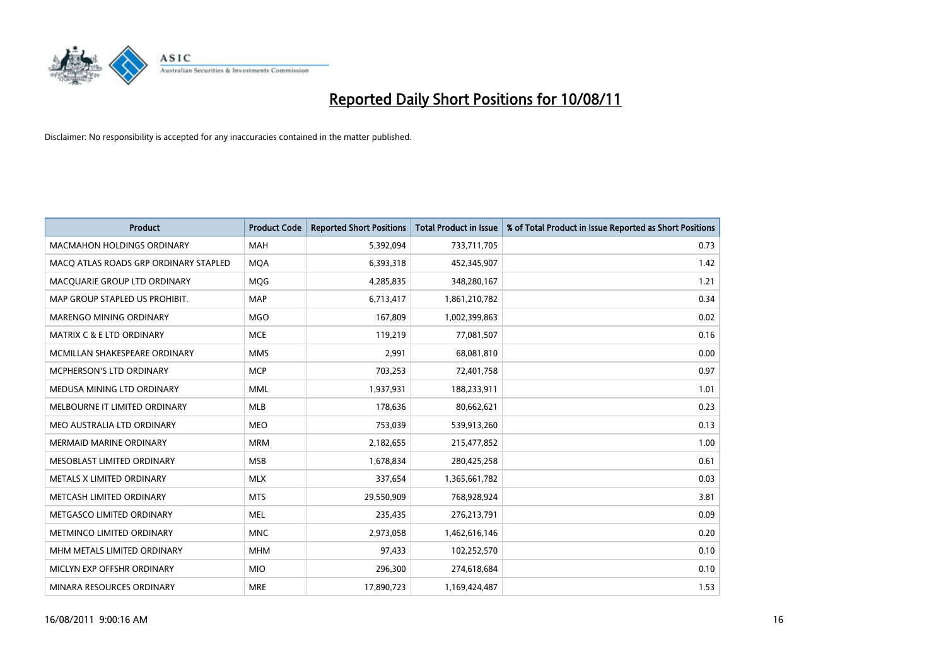

| <b>Product</b>                        | <b>Product Code</b> | <b>Reported Short Positions</b> | Total Product in Issue | % of Total Product in Issue Reported as Short Positions |
|---------------------------------------|---------------------|---------------------------------|------------------------|---------------------------------------------------------|
| <b>MACMAHON HOLDINGS ORDINARY</b>     | <b>MAH</b>          | 5,392,094                       | 733,711,705            | 0.73                                                    |
| MACO ATLAS ROADS GRP ORDINARY STAPLED | <b>MQA</b>          | 6,393,318                       | 452,345,907            | 1.42                                                    |
| MACQUARIE GROUP LTD ORDINARY          | MQG                 | 4,285,835                       | 348,280,167            | 1.21                                                    |
| MAP GROUP STAPLED US PROHIBIT.        | <b>MAP</b>          | 6,713,417                       | 1,861,210,782          | 0.34                                                    |
| <b>MARENGO MINING ORDINARY</b>        | <b>MGO</b>          | 167,809                         | 1,002,399,863          | 0.02                                                    |
| <b>MATRIX C &amp; E LTD ORDINARY</b>  | <b>MCE</b>          | 119,219                         | 77,081,507             | 0.16                                                    |
| MCMILLAN SHAKESPEARE ORDINARY         | <b>MMS</b>          | 2,991                           | 68,081,810             | 0.00                                                    |
| <b>MCPHERSON'S LTD ORDINARY</b>       | <b>MCP</b>          | 703,253                         | 72,401,758             | 0.97                                                    |
| MEDUSA MINING LTD ORDINARY            | <b>MML</b>          | 1,937,931                       | 188,233,911            | 1.01                                                    |
| MELBOURNE IT LIMITED ORDINARY         | <b>MLB</b>          | 178,636                         | 80,662,621             | 0.23                                                    |
| MEO AUSTRALIA LTD ORDINARY            | <b>MEO</b>          | 753,039                         | 539,913,260            | 0.13                                                    |
| <b>MERMAID MARINE ORDINARY</b>        | <b>MRM</b>          | 2,182,655                       | 215,477,852            | 1.00                                                    |
| MESOBLAST LIMITED ORDINARY            | <b>MSB</b>          | 1,678,834                       | 280,425,258            | 0.61                                                    |
| METALS X LIMITED ORDINARY             | <b>MLX</b>          | 337,654                         | 1,365,661,782          | 0.03                                                    |
| METCASH LIMITED ORDINARY              | <b>MTS</b>          | 29,550,909                      | 768,928,924            | 3.81                                                    |
| METGASCO LIMITED ORDINARY             | <b>MEL</b>          | 235,435                         | 276,213,791            | 0.09                                                    |
| METMINCO LIMITED ORDINARY             | <b>MNC</b>          | 2,973,058                       | 1,462,616,146          | 0.20                                                    |
| MHM METALS LIMITED ORDINARY           | <b>MHM</b>          | 97,433                          | 102,252,570            | 0.10                                                    |
| MICLYN EXP OFFSHR ORDINARY            | <b>MIO</b>          | 296,300                         | 274,618,684            | 0.10                                                    |
| MINARA RESOURCES ORDINARY             | <b>MRE</b>          | 17,890,723                      | 1,169,424,487          | 1.53                                                    |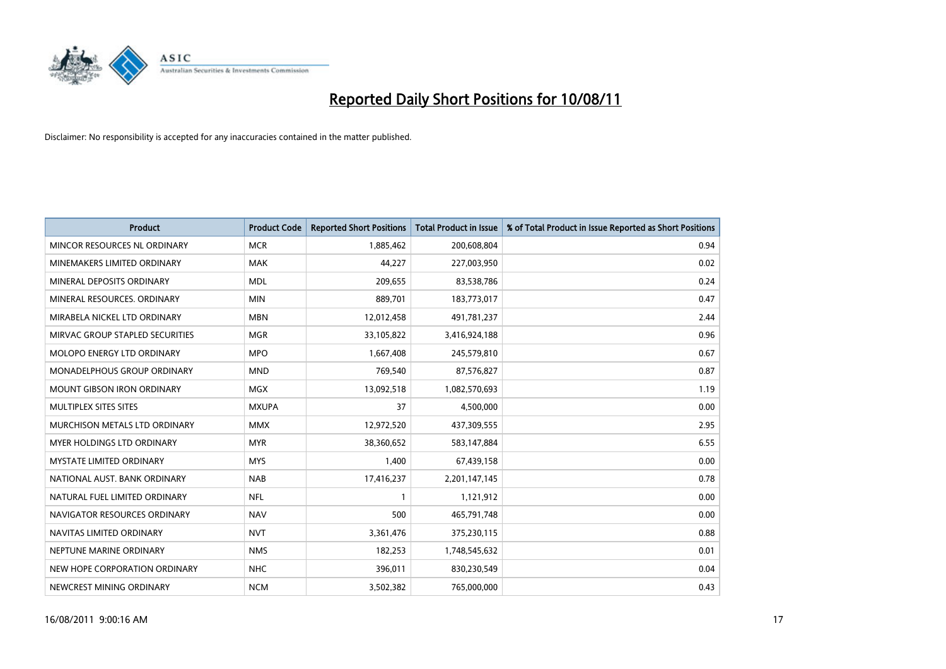

| <b>Product</b>                    | <b>Product Code</b> | <b>Reported Short Positions</b> | <b>Total Product in Issue</b> | % of Total Product in Issue Reported as Short Positions |
|-----------------------------------|---------------------|---------------------------------|-------------------------------|---------------------------------------------------------|
| MINCOR RESOURCES NL ORDINARY      | <b>MCR</b>          | 1,885,462                       | 200,608,804                   | 0.94                                                    |
| MINEMAKERS LIMITED ORDINARY       | <b>MAK</b>          | 44,227                          | 227,003,950                   | 0.02                                                    |
| MINERAL DEPOSITS ORDINARY         | <b>MDL</b>          | 209,655                         | 83,538,786                    | 0.24                                                    |
| MINERAL RESOURCES. ORDINARY       | <b>MIN</b>          | 889,701                         | 183,773,017                   | 0.47                                                    |
| MIRABELA NICKEL LTD ORDINARY      | <b>MBN</b>          | 12,012,458                      | 491,781,237                   | 2.44                                                    |
| MIRVAC GROUP STAPLED SECURITIES   | <b>MGR</b>          | 33,105,822                      | 3,416,924,188                 | 0.96                                                    |
| <b>MOLOPO ENERGY LTD ORDINARY</b> | <b>MPO</b>          | 1,667,408                       | 245,579,810                   | 0.67                                                    |
| MONADELPHOUS GROUP ORDINARY       | <b>MND</b>          | 769,540                         | 87,576,827                    | 0.87                                                    |
| <b>MOUNT GIBSON IRON ORDINARY</b> | <b>MGX</b>          | 13,092,518                      | 1,082,570,693                 | 1.19                                                    |
| MULTIPLEX SITES SITES             | <b>MXUPA</b>        | 37                              | 4,500,000                     | 0.00                                                    |
| MURCHISON METALS LTD ORDINARY     | <b>MMX</b>          | 12,972,520                      | 437,309,555                   | 2.95                                                    |
| MYER HOLDINGS LTD ORDINARY        | <b>MYR</b>          | 38,360,652                      | 583,147,884                   | 6.55                                                    |
| <b>MYSTATE LIMITED ORDINARY</b>   | <b>MYS</b>          | 1,400                           | 67,439,158                    | 0.00                                                    |
| NATIONAL AUST. BANK ORDINARY      | <b>NAB</b>          | 17,416,237                      | 2,201,147,145                 | 0.78                                                    |
| NATURAL FUEL LIMITED ORDINARY     | <b>NFL</b>          |                                 | 1,121,912                     | 0.00                                                    |
| NAVIGATOR RESOURCES ORDINARY      | <b>NAV</b>          | 500                             | 465,791,748                   | 0.00                                                    |
| NAVITAS LIMITED ORDINARY          | <b>NVT</b>          | 3,361,476                       | 375,230,115                   | 0.88                                                    |
| NEPTUNE MARINE ORDINARY           | <b>NMS</b>          | 182,253                         | 1,748,545,632                 | 0.01                                                    |
| NEW HOPE CORPORATION ORDINARY     | <b>NHC</b>          | 396,011                         | 830,230,549                   | 0.04                                                    |
| NEWCREST MINING ORDINARY          | <b>NCM</b>          | 3,502,382                       | 765,000,000                   | 0.43                                                    |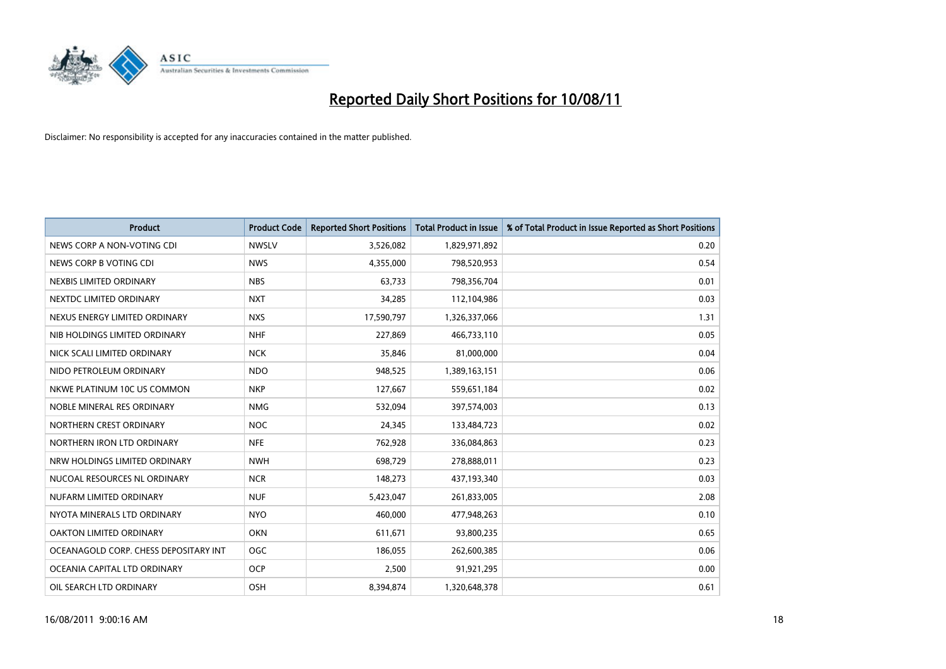

| <b>Product</b>                        | <b>Product Code</b> | <b>Reported Short Positions</b> | <b>Total Product in Issue</b> | % of Total Product in Issue Reported as Short Positions |
|---------------------------------------|---------------------|---------------------------------|-------------------------------|---------------------------------------------------------|
| NEWS CORP A NON-VOTING CDI            | <b>NWSLV</b>        | 3,526,082                       | 1,829,971,892                 | 0.20                                                    |
| NEWS CORP B VOTING CDI                | <b>NWS</b>          | 4,355,000                       | 798,520,953                   | 0.54                                                    |
| NEXBIS LIMITED ORDINARY               | <b>NBS</b>          | 63,733                          | 798,356,704                   | 0.01                                                    |
| NEXTDC LIMITED ORDINARY               | <b>NXT</b>          | 34,285                          | 112,104,986                   | 0.03                                                    |
| NEXUS ENERGY LIMITED ORDINARY         | <b>NXS</b>          | 17,590,797                      | 1,326,337,066                 | 1.31                                                    |
| NIB HOLDINGS LIMITED ORDINARY         | <b>NHF</b>          | 227,869                         | 466,733,110                   | 0.05                                                    |
| NICK SCALI LIMITED ORDINARY           | <b>NCK</b>          | 35,846                          | 81,000,000                    | 0.04                                                    |
| NIDO PETROLEUM ORDINARY               | <b>NDO</b>          | 948,525                         | 1,389,163,151                 | 0.06                                                    |
| NKWE PLATINUM 10C US COMMON           | <b>NKP</b>          | 127,667                         | 559,651,184                   | 0.02                                                    |
| NOBLE MINERAL RES ORDINARY            | <b>NMG</b>          | 532,094                         | 397,574,003                   | 0.13                                                    |
| NORTHERN CREST ORDINARY               | <b>NOC</b>          | 24,345                          | 133,484,723                   | 0.02                                                    |
| NORTHERN IRON LTD ORDINARY            | <b>NFE</b>          | 762,928                         | 336,084,863                   | 0.23                                                    |
| NRW HOLDINGS LIMITED ORDINARY         | <b>NWH</b>          | 698,729                         | 278,888,011                   | 0.23                                                    |
| NUCOAL RESOURCES NL ORDINARY          | <b>NCR</b>          | 148,273                         | 437,193,340                   | 0.03                                                    |
| NUFARM LIMITED ORDINARY               | <b>NUF</b>          | 5,423,047                       | 261,833,005                   | 2.08                                                    |
| NYOTA MINERALS LTD ORDINARY           | <b>NYO</b>          | 460,000                         | 477,948,263                   | 0.10                                                    |
| OAKTON LIMITED ORDINARY               | <b>OKN</b>          | 611,671                         | 93,800,235                    | 0.65                                                    |
| OCEANAGOLD CORP. CHESS DEPOSITARY INT | <b>OGC</b>          | 186,055                         | 262,600,385                   | 0.06                                                    |
| OCEANIA CAPITAL LTD ORDINARY          | <b>OCP</b>          | 2,500                           | 91,921,295                    | 0.00                                                    |
| OIL SEARCH LTD ORDINARY               | <b>OSH</b>          | 8,394,874                       | 1,320,648,378                 | 0.61                                                    |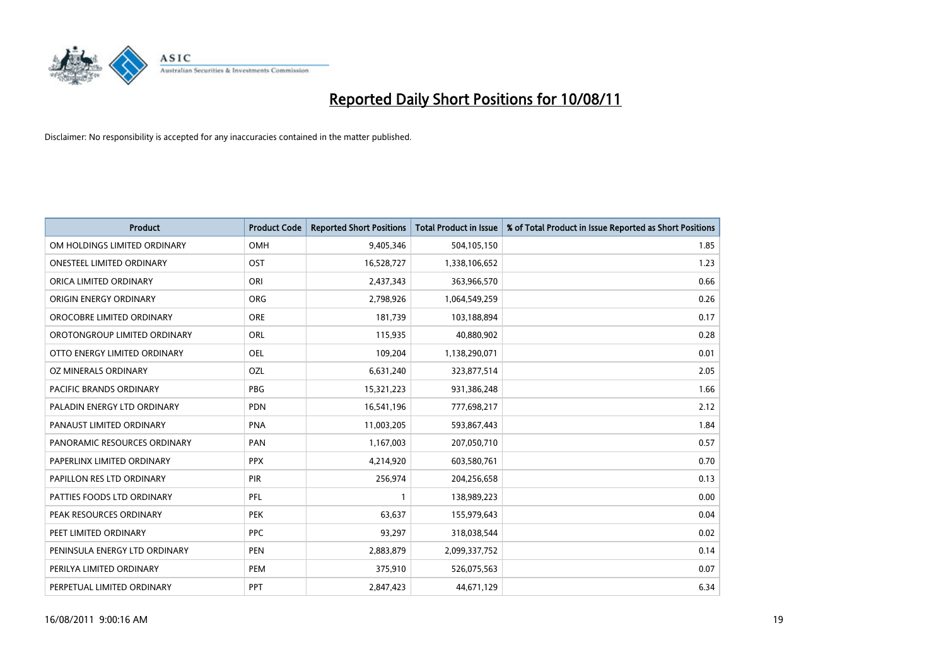

| <b>Product</b>                 | <b>Product Code</b> | <b>Reported Short Positions</b> | <b>Total Product in Issue</b> | % of Total Product in Issue Reported as Short Positions |
|--------------------------------|---------------------|---------------------------------|-------------------------------|---------------------------------------------------------|
| OM HOLDINGS LIMITED ORDINARY   | OMH                 | 9,405,346                       | 504,105,150                   | 1.85                                                    |
| ONESTEEL LIMITED ORDINARY      | OST                 | 16,528,727                      | 1,338,106,652                 | 1.23                                                    |
| ORICA LIMITED ORDINARY         | ORI                 | 2,437,343                       | 363,966,570                   | 0.66                                                    |
| ORIGIN ENERGY ORDINARY         | <b>ORG</b>          | 2,798,926                       | 1,064,549,259                 | 0.26                                                    |
| OROCOBRE LIMITED ORDINARY      | <b>ORE</b>          | 181,739                         | 103,188,894                   | 0.17                                                    |
| OROTONGROUP LIMITED ORDINARY   | <b>ORL</b>          | 115,935                         | 40,880,902                    | 0.28                                                    |
| OTTO ENERGY LIMITED ORDINARY   | <b>OEL</b>          | 109,204                         | 1,138,290,071                 | 0.01                                                    |
| OZ MINERALS ORDINARY           | OZL                 | 6,631,240                       | 323,877,514                   | 2.05                                                    |
| <b>PACIFIC BRANDS ORDINARY</b> | <b>PBG</b>          | 15,321,223                      | 931,386,248                   | 1.66                                                    |
| PALADIN ENERGY LTD ORDINARY    | <b>PDN</b>          | 16,541,196                      | 777,698,217                   | 2.12                                                    |
| PANAUST LIMITED ORDINARY       | <b>PNA</b>          | 11,003,205                      | 593,867,443                   | 1.84                                                    |
| PANORAMIC RESOURCES ORDINARY   | PAN                 | 1,167,003                       | 207,050,710                   | 0.57                                                    |
| PAPERLINX LIMITED ORDINARY     | <b>PPX</b>          | 4,214,920                       | 603,580,761                   | 0.70                                                    |
| PAPILLON RES LTD ORDINARY      | PIR                 | 256,974                         | 204,256,658                   | 0.13                                                    |
| PATTIES FOODS LTD ORDINARY     | PFL                 |                                 | 138,989,223                   | 0.00                                                    |
| PEAK RESOURCES ORDINARY        | <b>PEK</b>          | 63,637                          | 155,979,643                   | 0.04                                                    |
| PEET LIMITED ORDINARY          | <b>PPC</b>          | 93,297                          | 318,038,544                   | 0.02                                                    |
| PENINSULA ENERGY LTD ORDINARY  | <b>PEN</b>          | 2,883,879                       | 2,099,337,752                 | 0.14                                                    |
| PERILYA LIMITED ORDINARY       | PEM                 | 375,910                         | 526,075,563                   | 0.07                                                    |
| PERPETUAL LIMITED ORDINARY     | PPT                 | 2,847,423                       | 44,671,129                    | 6.34                                                    |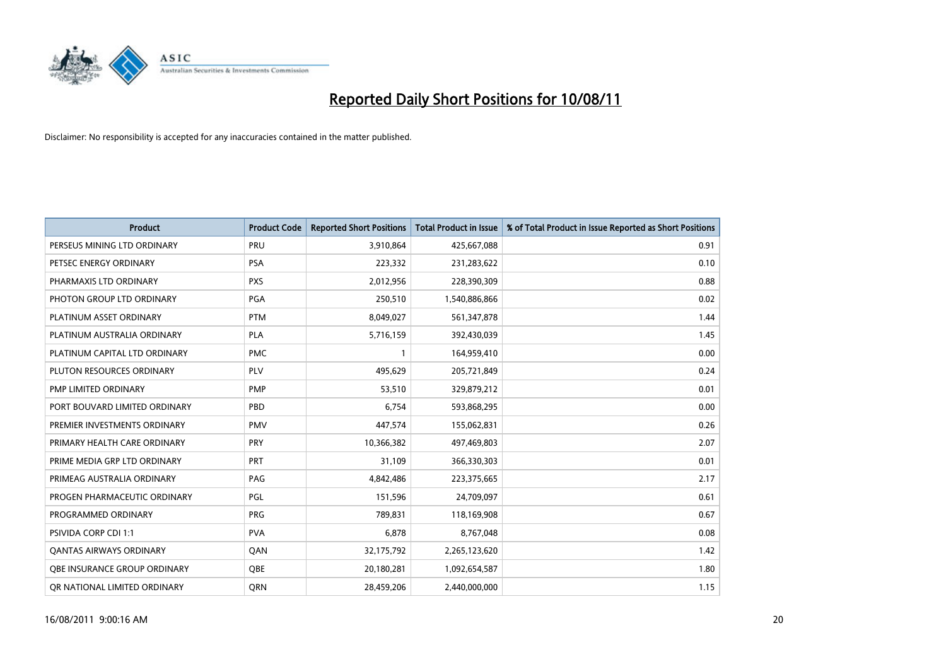

| <b>Product</b>                      | <b>Product Code</b> | <b>Reported Short Positions</b> | <b>Total Product in Issue</b> | % of Total Product in Issue Reported as Short Positions |
|-------------------------------------|---------------------|---------------------------------|-------------------------------|---------------------------------------------------------|
| PERSEUS MINING LTD ORDINARY         | PRU                 | 3,910,864                       | 425,667,088                   | 0.91                                                    |
| PETSEC ENERGY ORDINARY              | <b>PSA</b>          | 223,332                         | 231,283,622                   | 0.10                                                    |
| PHARMAXIS LTD ORDINARY              | <b>PXS</b>          | 2,012,956                       | 228,390,309                   | 0.88                                                    |
| PHOTON GROUP LTD ORDINARY           | <b>PGA</b>          | 250,510                         | 1,540,886,866                 | 0.02                                                    |
| PLATINUM ASSET ORDINARY             | <b>PTM</b>          | 8,049,027                       | 561,347,878                   | 1.44                                                    |
| PLATINUM AUSTRALIA ORDINARY         | PLA                 | 5,716,159                       | 392,430,039                   | 1.45                                                    |
| PLATINUM CAPITAL LTD ORDINARY       | <b>PMC</b>          |                                 | 164,959,410                   | 0.00                                                    |
| PLUTON RESOURCES ORDINARY           | PLV                 | 495,629                         | 205,721,849                   | 0.24                                                    |
| PMP LIMITED ORDINARY                | <b>PMP</b>          | 53,510                          | 329,879,212                   | 0.01                                                    |
| PORT BOUVARD LIMITED ORDINARY       | PBD                 | 6,754                           | 593,868,295                   | 0.00                                                    |
| PREMIER INVESTMENTS ORDINARY        | <b>PMV</b>          | 447,574                         | 155,062,831                   | 0.26                                                    |
| PRIMARY HEALTH CARE ORDINARY        | <b>PRY</b>          | 10,366,382                      | 497,469,803                   | 2.07                                                    |
| PRIME MEDIA GRP LTD ORDINARY        | PRT                 | 31,109                          | 366,330,303                   | 0.01                                                    |
| PRIMEAG AUSTRALIA ORDINARY          | PAG                 | 4,842,486                       | 223,375,665                   | 2.17                                                    |
| PROGEN PHARMACEUTIC ORDINARY        | PGL                 | 151,596                         | 24,709,097                    | 0.61                                                    |
| PROGRAMMED ORDINARY                 | <b>PRG</b>          | 789.831                         | 118,169,908                   | 0.67                                                    |
| <b>PSIVIDA CORP CDI 1:1</b>         | <b>PVA</b>          | 6,878                           | 8,767,048                     | 0.08                                                    |
| <b>QANTAS AIRWAYS ORDINARY</b>      | QAN                 | 32,175,792                      | 2,265,123,620                 | 1.42                                                    |
| <b>OBE INSURANCE GROUP ORDINARY</b> | <b>OBE</b>          | 20,180,281                      | 1,092,654,587                 | 1.80                                                    |
| OR NATIONAL LIMITED ORDINARY        | <b>ORN</b>          | 28,459,206                      | 2,440,000,000                 | 1.15                                                    |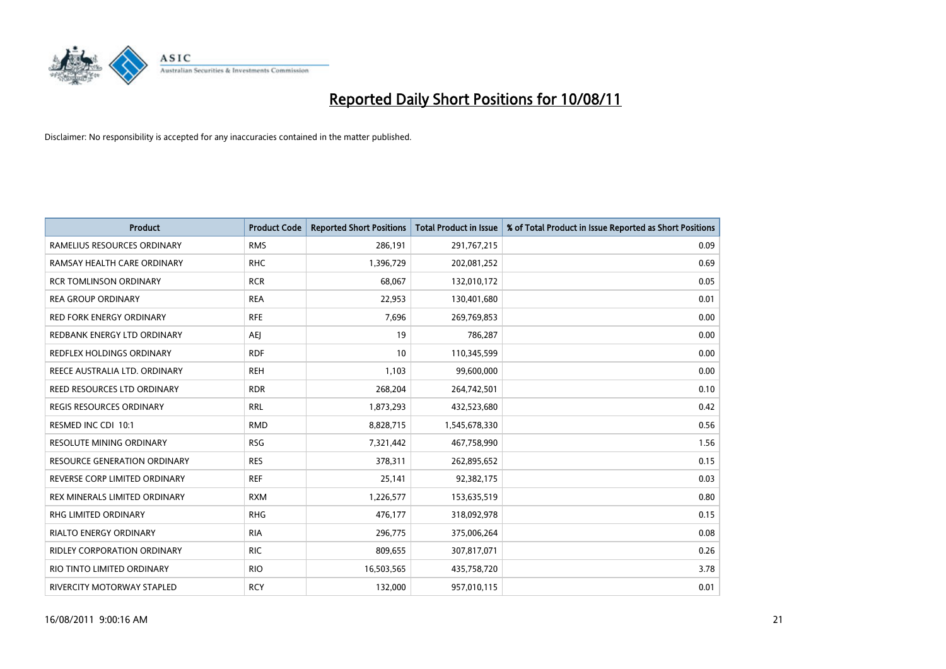

| <b>Product</b>                      | <b>Product Code</b> | <b>Reported Short Positions</b> | Total Product in Issue | % of Total Product in Issue Reported as Short Positions |
|-------------------------------------|---------------------|---------------------------------|------------------------|---------------------------------------------------------|
| RAMELIUS RESOURCES ORDINARY         | <b>RMS</b>          | 286,191                         | 291,767,215            | 0.09                                                    |
| RAMSAY HEALTH CARE ORDINARY         | <b>RHC</b>          | 1,396,729                       | 202,081,252            | 0.69                                                    |
| <b>RCR TOMLINSON ORDINARY</b>       | <b>RCR</b>          | 68,067                          | 132,010,172            | 0.05                                                    |
| <b>REA GROUP ORDINARY</b>           | <b>REA</b>          | 22,953                          | 130,401,680            | 0.01                                                    |
| <b>RED FORK ENERGY ORDINARY</b>     | <b>RFE</b>          | 7,696                           | 269,769,853            | 0.00                                                    |
| REDBANK ENERGY LTD ORDINARY         | <b>AEI</b>          | 19                              | 786,287                | 0.00                                                    |
| <b>REDFLEX HOLDINGS ORDINARY</b>    | <b>RDF</b>          | 10                              | 110,345,599            | 0.00                                                    |
| REECE AUSTRALIA LTD. ORDINARY       | <b>REH</b>          | 1,103                           | 99,600,000             | 0.00                                                    |
| REED RESOURCES LTD ORDINARY         | <b>RDR</b>          | 268,204                         | 264,742,501            | 0.10                                                    |
| <b>REGIS RESOURCES ORDINARY</b>     | <b>RRL</b>          | 1,873,293                       | 432,523,680            | 0.42                                                    |
| RESMED INC CDI 10:1                 | <b>RMD</b>          | 8,828,715                       | 1,545,678,330          | 0.56                                                    |
| RESOLUTE MINING ORDINARY            | <b>RSG</b>          | 7,321,442                       | 467,758,990            | 1.56                                                    |
| <b>RESOURCE GENERATION ORDINARY</b> | <b>RES</b>          | 378,311                         | 262,895,652            | 0.15                                                    |
| REVERSE CORP LIMITED ORDINARY       | <b>REF</b>          | 25,141                          | 92,382,175             | 0.03                                                    |
| REX MINERALS LIMITED ORDINARY       | <b>RXM</b>          | 1,226,577                       | 153,635,519            | 0.80                                                    |
| <b>RHG LIMITED ORDINARY</b>         | <b>RHG</b>          | 476,177                         | 318,092,978            | 0.15                                                    |
| <b>RIALTO ENERGY ORDINARY</b>       | <b>RIA</b>          | 296,775                         | 375,006,264            | 0.08                                                    |
| RIDLEY CORPORATION ORDINARY         | <b>RIC</b>          | 809,655                         | 307,817,071            | 0.26                                                    |
| RIO TINTO LIMITED ORDINARY          | <b>RIO</b>          | 16,503,565                      | 435,758,720            | 3.78                                                    |
| RIVERCITY MOTORWAY STAPLED          | <b>RCY</b>          | 132,000                         | 957,010,115            | 0.01                                                    |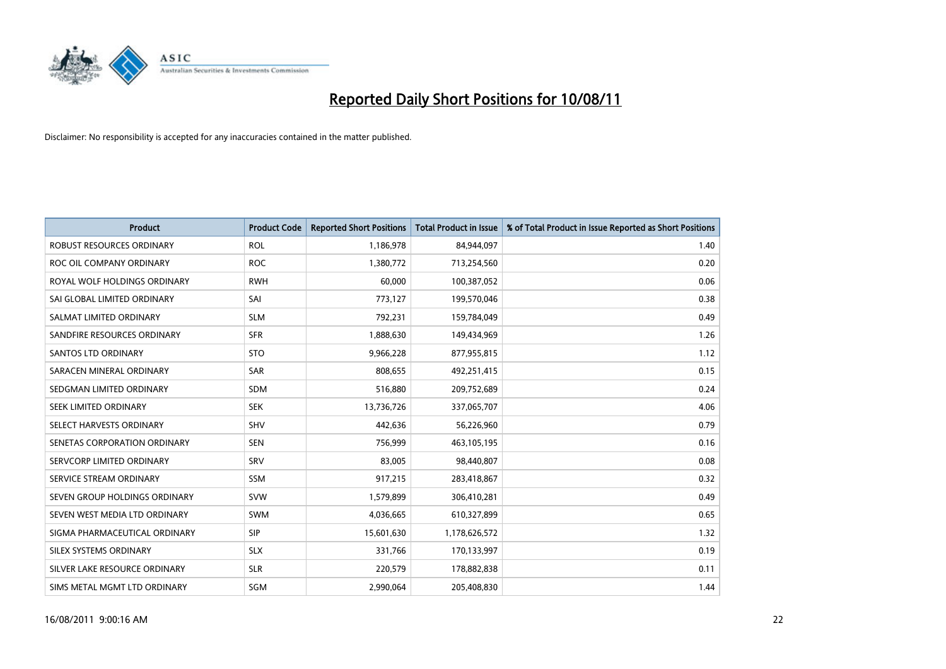

| <b>Product</b>                   | <b>Product Code</b> | <b>Reported Short Positions</b> | Total Product in Issue | % of Total Product in Issue Reported as Short Positions |
|----------------------------------|---------------------|---------------------------------|------------------------|---------------------------------------------------------|
| <b>ROBUST RESOURCES ORDINARY</b> | <b>ROL</b>          | 1,186,978                       | 84,944,097             | 1.40                                                    |
| ROC OIL COMPANY ORDINARY         | <b>ROC</b>          | 1,380,772                       | 713,254,560            | 0.20                                                    |
| ROYAL WOLF HOLDINGS ORDINARY     | <b>RWH</b>          | 60,000                          | 100,387,052            | 0.06                                                    |
| SAI GLOBAL LIMITED ORDINARY      | SAI                 | 773,127                         | 199,570,046            | 0.38                                                    |
| SALMAT LIMITED ORDINARY          | <b>SLM</b>          | 792,231                         | 159,784,049            | 0.49                                                    |
| SANDFIRE RESOURCES ORDINARY      | <b>SFR</b>          | 1,888,630                       | 149,434,969            | 1.26                                                    |
| <b>SANTOS LTD ORDINARY</b>       | <b>STO</b>          | 9,966,228                       | 877,955,815            | 1.12                                                    |
| SARACEN MINERAL ORDINARY         | SAR                 | 808,655                         | 492,251,415            | 0.15                                                    |
| SEDGMAN LIMITED ORDINARY         | <b>SDM</b>          | 516,880                         | 209,752,689            | 0.24                                                    |
| SEEK LIMITED ORDINARY            | <b>SEK</b>          | 13,736,726                      | 337,065,707            | 4.06                                                    |
| SELECT HARVESTS ORDINARY         | <b>SHV</b>          | 442,636                         | 56,226,960             | 0.79                                                    |
| SENETAS CORPORATION ORDINARY     | <b>SEN</b>          | 756,999                         | 463,105,195            | 0.16                                                    |
| SERVCORP LIMITED ORDINARY        | SRV                 | 83,005                          | 98,440,807             | 0.08                                                    |
| SERVICE STREAM ORDINARY          | <b>SSM</b>          | 917,215                         | 283,418,867            | 0.32                                                    |
| SEVEN GROUP HOLDINGS ORDINARY    | <b>SVW</b>          | 1,579,899                       | 306,410,281            | 0.49                                                    |
| SEVEN WEST MEDIA LTD ORDINARY    | <b>SWM</b>          | 4,036,665                       | 610,327,899            | 0.65                                                    |
| SIGMA PHARMACEUTICAL ORDINARY    | SIP                 | 15,601,630                      | 1,178,626,572          | 1.32                                                    |
| SILEX SYSTEMS ORDINARY           | <b>SLX</b>          | 331,766                         | 170,133,997            | 0.19                                                    |
| SILVER LAKE RESOURCE ORDINARY    | <b>SLR</b>          | 220,579                         | 178,882,838            | 0.11                                                    |
| SIMS METAL MGMT LTD ORDINARY     | <b>SGM</b>          | 2.990.064                       | 205,408,830            | 1.44                                                    |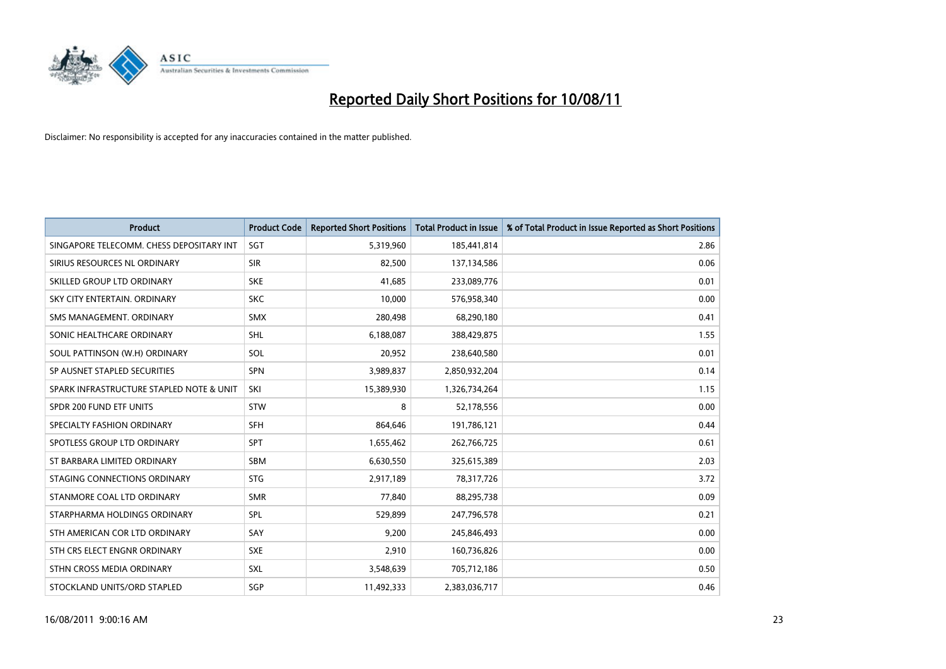

| <b>Product</b>                           | <b>Product Code</b> | <b>Reported Short Positions</b> | <b>Total Product in Issue</b> | % of Total Product in Issue Reported as Short Positions |
|------------------------------------------|---------------------|---------------------------------|-------------------------------|---------------------------------------------------------|
| SINGAPORE TELECOMM. CHESS DEPOSITARY INT | SGT                 | 5,319,960                       | 185,441,814                   | 2.86                                                    |
| SIRIUS RESOURCES NL ORDINARY             | <b>SIR</b>          | 82,500                          | 137,134,586                   | 0.06                                                    |
| SKILLED GROUP LTD ORDINARY               | <b>SKE</b>          | 41,685                          | 233,089,776                   | 0.01                                                    |
| SKY CITY ENTERTAIN. ORDINARY             | <b>SKC</b>          | 10,000                          | 576,958,340                   | 0.00                                                    |
| SMS MANAGEMENT. ORDINARY                 | <b>SMX</b>          | 280,498                         | 68,290,180                    | 0.41                                                    |
| SONIC HEALTHCARE ORDINARY                | <b>SHL</b>          | 6,188,087                       | 388,429,875                   | 1.55                                                    |
| SOUL PATTINSON (W.H) ORDINARY            | SOL                 | 20,952                          | 238,640,580                   | 0.01                                                    |
| SP AUSNET STAPLED SECURITIES             | <b>SPN</b>          | 3,989,837                       | 2,850,932,204                 | 0.14                                                    |
| SPARK INFRASTRUCTURE STAPLED NOTE & UNIT | SKI                 | 15,389,930                      | 1,326,734,264                 | 1.15                                                    |
| SPDR 200 FUND ETF UNITS                  | <b>STW</b>          | 8                               | 52,178,556                    | 0.00                                                    |
| SPECIALTY FASHION ORDINARY               | <b>SFH</b>          | 864,646                         | 191,786,121                   | 0.44                                                    |
| SPOTLESS GROUP LTD ORDINARY              | <b>SPT</b>          | 1,655,462                       | 262,766,725                   | 0.61                                                    |
| ST BARBARA LIMITED ORDINARY              | <b>SBM</b>          | 6,630,550                       | 325,615,389                   | 2.03                                                    |
| STAGING CONNECTIONS ORDINARY             | <b>STG</b>          | 2,917,189                       | 78,317,726                    | 3.72                                                    |
| STANMORE COAL LTD ORDINARY               | <b>SMR</b>          | 77,840                          | 88,295,738                    | 0.09                                                    |
| STARPHARMA HOLDINGS ORDINARY             | SPL                 | 529,899                         | 247,796,578                   | 0.21                                                    |
| STH AMERICAN COR LTD ORDINARY            | SAY                 | 9,200                           | 245,846,493                   | 0.00                                                    |
| STH CRS ELECT ENGNR ORDINARY             | <b>SXE</b>          | 2,910                           | 160,736,826                   | 0.00                                                    |
| STHN CROSS MEDIA ORDINARY                | SXL                 | 3,548,639                       | 705,712,186                   | 0.50                                                    |
| STOCKLAND UNITS/ORD STAPLED              | SGP                 | 11,492,333                      | 2,383,036,717                 | 0.46                                                    |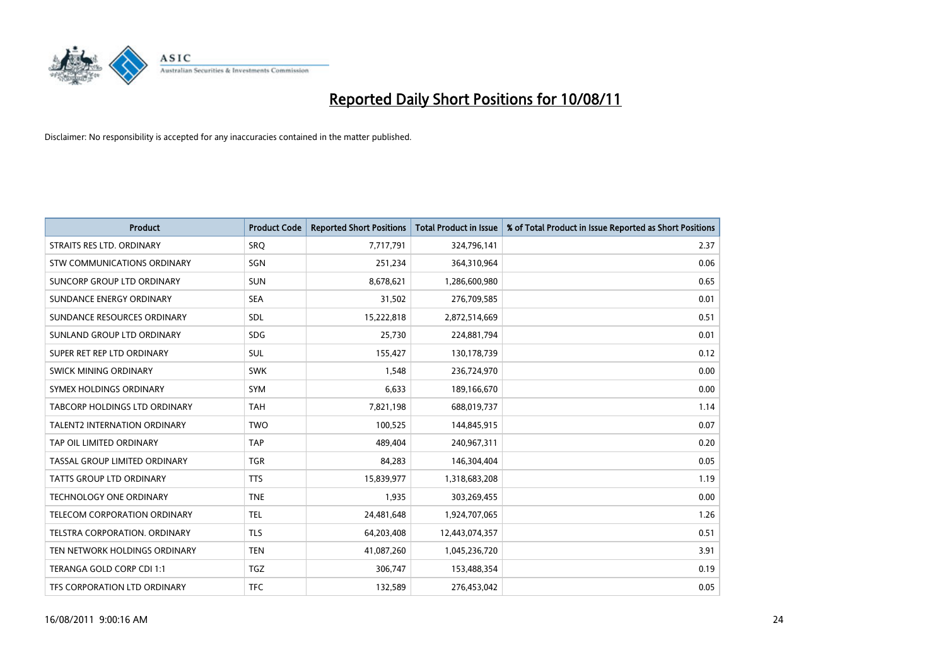

| <b>Product</b>                       | <b>Product Code</b> | <b>Reported Short Positions</b> | <b>Total Product in Issue</b> | % of Total Product in Issue Reported as Short Positions |
|--------------------------------------|---------------------|---------------------------------|-------------------------------|---------------------------------------------------------|
| STRAITS RES LTD. ORDINARY            | SRQ                 | 7,717,791                       | 324,796,141                   | 2.37                                                    |
| STW COMMUNICATIONS ORDINARY          | SGN                 | 251,234                         | 364,310,964                   | 0.06                                                    |
| SUNCORP GROUP LTD ORDINARY           | <b>SUN</b>          | 8,678,621                       | 1,286,600,980                 | 0.65                                                    |
| SUNDANCE ENERGY ORDINARY             | <b>SEA</b>          | 31,502                          | 276,709,585                   | 0.01                                                    |
| SUNDANCE RESOURCES ORDINARY          | <b>SDL</b>          | 15,222,818                      | 2,872,514,669                 | 0.51                                                    |
| SUNLAND GROUP LTD ORDINARY           | <b>SDG</b>          | 25,730                          | 224,881,794                   | 0.01                                                    |
| SUPER RET REP LTD ORDINARY           | <b>SUL</b>          | 155,427                         | 130,178,739                   | 0.12                                                    |
| <b>SWICK MINING ORDINARY</b>         | <b>SWK</b>          | 1,548                           | 236,724,970                   | 0.00                                                    |
| SYMEX HOLDINGS ORDINARY              | SYM                 | 6,633                           | 189,166,670                   | 0.00                                                    |
| TABCORP HOLDINGS LTD ORDINARY        | <b>TAH</b>          | 7,821,198                       | 688,019,737                   | 1.14                                                    |
| <b>TALENT2 INTERNATION ORDINARY</b>  | <b>TWO</b>          | 100,525                         | 144,845,915                   | 0.07                                                    |
| TAP OIL LIMITED ORDINARY             | <b>TAP</b>          | 489,404                         | 240,967,311                   | 0.20                                                    |
| TASSAL GROUP LIMITED ORDINARY        | <b>TGR</b>          | 84,283                          | 146,304,404                   | 0.05                                                    |
| <b>TATTS GROUP LTD ORDINARY</b>      | <b>TTS</b>          | 15,839,977                      | 1,318,683,208                 | 1.19                                                    |
| <b>TECHNOLOGY ONE ORDINARY</b>       | <b>TNE</b>          | 1,935                           | 303,269,455                   | 0.00                                                    |
| TELECOM CORPORATION ORDINARY         | <b>TEL</b>          | 24,481,648                      | 1,924,707,065                 | 1.26                                                    |
| <b>TELSTRA CORPORATION, ORDINARY</b> | <b>TLS</b>          | 64,203,408                      | 12,443,074,357                | 0.51                                                    |
| TEN NETWORK HOLDINGS ORDINARY        | <b>TEN</b>          | 41,087,260                      | 1,045,236,720                 | 3.91                                                    |
| TERANGA GOLD CORP CDI 1:1            | <b>TGZ</b>          | 306,747                         | 153,488,354                   | 0.19                                                    |
| TFS CORPORATION LTD ORDINARY         | <b>TFC</b>          | 132,589                         | 276,453,042                   | 0.05                                                    |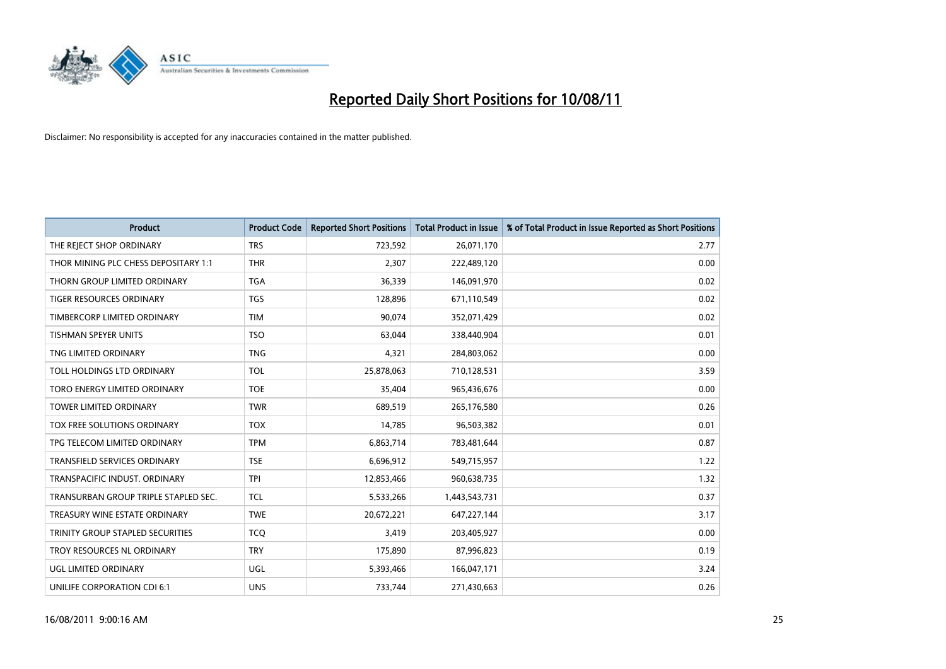

| <b>Product</b>                       | <b>Product Code</b> | <b>Reported Short Positions</b> | <b>Total Product in Issue</b> | % of Total Product in Issue Reported as Short Positions |
|--------------------------------------|---------------------|---------------------------------|-------------------------------|---------------------------------------------------------|
| THE REJECT SHOP ORDINARY             | <b>TRS</b>          | 723,592                         | 26,071,170                    | 2.77                                                    |
| THOR MINING PLC CHESS DEPOSITARY 1:1 | <b>THR</b>          | 2,307                           | 222,489,120                   | 0.00                                                    |
| THORN GROUP LIMITED ORDINARY         | <b>TGA</b>          | 36,339                          | 146,091,970                   | 0.02                                                    |
| TIGER RESOURCES ORDINARY             | <b>TGS</b>          | 128,896                         | 671,110,549                   | 0.02                                                    |
| TIMBERCORP LIMITED ORDINARY          | <b>TIM</b>          | 90,074                          | 352,071,429                   | 0.02                                                    |
| <b>TISHMAN SPEYER UNITS</b>          | <b>TSO</b>          | 63.044                          | 338,440,904                   | 0.01                                                    |
| TNG LIMITED ORDINARY                 | <b>TNG</b>          | 4,321                           | 284,803,062                   | 0.00                                                    |
| TOLL HOLDINGS LTD ORDINARY           | <b>TOL</b>          | 25,878,063                      | 710,128,531                   | 3.59                                                    |
| TORO ENERGY LIMITED ORDINARY         | <b>TOE</b>          | 35,404                          | 965,436,676                   | 0.00                                                    |
| <b>TOWER LIMITED ORDINARY</b>        | <b>TWR</b>          | 689,519                         | 265,176,580                   | 0.26                                                    |
| <b>TOX FREE SOLUTIONS ORDINARY</b>   | <b>TOX</b>          | 14,785                          | 96,503,382                    | 0.01                                                    |
| TPG TELECOM LIMITED ORDINARY         | <b>TPM</b>          | 6,863,714                       | 783,481,644                   | 0.87                                                    |
| <b>TRANSFIELD SERVICES ORDINARY</b>  | <b>TSE</b>          | 6,696,912                       | 549,715,957                   | 1.22                                                    |
| TRANSPACIFIC INDUST, ORDINARY        | <b>TPI</b>          | 12,853,466                      | 960,638,735                   | 1.32                                                    |
| TRANSURBAN GROUP TRIPLE STAPLED SEC. | <b>TCL</b>          | 5,533,266                       | 1,443,543,731                 | 0.37                                                    |
| TREASURY WINE ESTATE ORDINARY        | <b>TWE</b>          | 20,672,221                      | 647,227,144                   | 3.17                                                    |
| TRINITY GROUP STAPLED SECURITIES     | <b>TCQ</b>          | 3,419                           | 203,405,927                   | 0.00                                                    |
| TROY RESOURCES NL ORDINARY           | <b>TRY</b>          | 175,890                         | 87,996,823                    | 0.19                                                    |
| UGL LIMITED ORDINARY                 | UGL                 | 5,393,466                       | 166,047,171                   | 3.24                                                    |
| UNILIFE CORPORATION CDI 6:1          | <b>UNS</b>          | 733,744                         | 271,430,663                   | 0.26                                                    |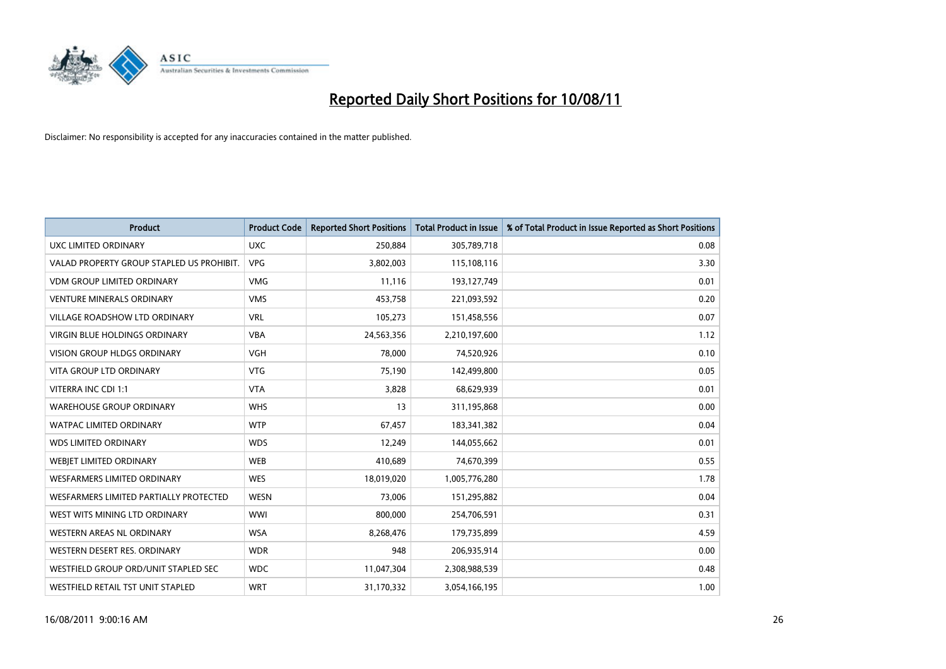

| <b>Product</b>                            | <b>Product Code</b> | <b>Reported Short Positions</b> | Total Product in Issue | % of Total Product in Issue Reported as Short Positions |
|-------------------------------------------|---------------------|---------------------------------|------------------------|---------------------------------------------------------|
| <b>UXC LIMITED ORDINARY</b>               | <b>UXC</b>          | 250,884                         | 305,789,718            | 0.08                                                    |
| VALAD PROPERTY GROUP STAPLED US PROHIBIT. | <b>VPG</b>          | 3,802,003                       | 115,108,116            | 3.30                                                    |
| <b>VDM GROUP LIMITED ORDINARY</b>         | <b>VMG</b>          | 11,116                          | 193,127,749            | 0.01                                                    |
| <b>VENTURE MINERALS ORDINARY</b>          | <b>VMS</b>          | 453,758                         | 221,093,592            | 0.20                                                    |
| <b>VILLAGE ROADSHOW LTD ORDINARY</b>      | <b>VRL</b>          | 105,273                         | 151,458,556            | 0.07                                                    |
| <b>VIRGIN BLUE HOLDINGS ORDINARY</b>      | <b>VBA</b>          | 24,563,356                      | 2,210,197,600          | 1.12                                                    |
| VISION GROUP HLDGS ORDINARY               | <b>VGH</b>          | 78,000                          | 74,520,926             | 0.10                                                    |
| VITA GROUP LTD ORDINARY                   | <b>VTG</b>          | 75,190                          | 142,499,800            | 0.05                                                    |
| VITERRA INC CDI 1:1                       | <b>VTA</b>          | 3,828                           | 68,629,939             | 0.01                                                    |
| <b>WAREHOUSE GROUP ORDINARY</b>           | <b>WHS</b>          | 13                              | 311,195,868            | 0.00                                                    |
| <b>WATPAC LIMITED ORDINARY</b>            | <b>WTP</b>          | 67,457                          | 183,341,382            | 0.04                                                    |
| <b>WDS LIMITED ORDINARY</b>               | <b>WDS</b>          | 12,249                          | 144,055,662            | 0.01                                                    |
| WEBJET LIMITED ORDINARY                   | <b>WEB</b>          | 410,689                         | 74,670,399             | 0.55                                                    |
| <b>WESFARMERS LIMITED ORDINARY</b>        | <b>WES</b>          | 18,019,020                      | 1,005,776,280          | 1.78                                                    |
| WESFARMERS LIMITED PARTIALLY PROTECTED    | <b>WESN</b>         | 73,006                          | 151,295,882            | 0.04                                                    |
| WEST WITS MINING LTD ORDINARY             | <b>WWI</b>          | 800,000                         | 254,706,591            | 0.31                                                    |
| WESTERN AREAS NL ORDINARY                 | <b>WSA</b>          | 8,268,476                       | 179,735,899            | 4.59                                                    |
| WESTERN DESERT RES. ORDINARY              | <b>WDR</b>          | 948                             | 206,935,914            | 0.00                                                    |
| WESTFIELD GROUP ORD/UNIT STAPLED SEC      | <b>WDC</b>          | 11,047,304                      | 2,308,988,539          | 0.48                                                    |
| WESTFIELD RETAIL TST UNIT STAPLED         | <b>WRT</b>          | 31,170,332                      | 3,054,166,195          | 1.00                                                    |